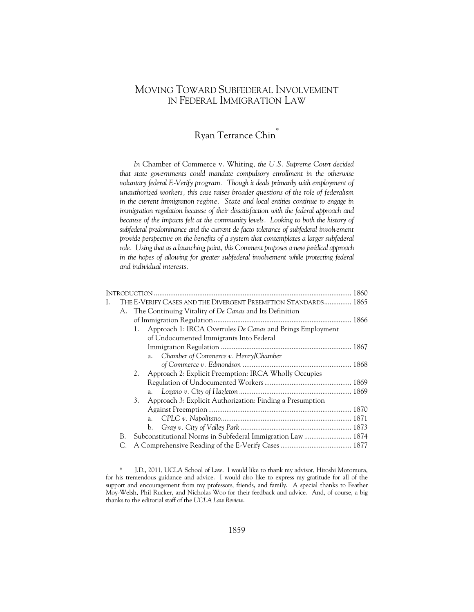# MOVING TOWARD SUBFEDERAL INVOLVEMENT IN FEDERAL IMMIGRATION LAW

# Ryan Terrance Chin\*

*In* Chamber of Commerce v. Whiting*, the U.S. Supreme Court decided that state governments could mandate compulsory enrollment in the otherwise*  voluntary federal E-Verify program. Though it deals primarily with employment of *unauthorized workers, this case raises broader questions of the role of federalism in the current immigration regime. State and local entities continue to engage in*  immigration regulation because of their dissatisfaction with the federal approach and *because of the impacts felt at the community levels. Looking to both the history of* subfederal predominance and the current de facto tolerance of subfederal involvement provide perspective on the benefits of a system that contemplates a larger subfederal *role. Using that as a launching point, this Comment proposes a new juridical approach*  in the hopes of allowing for greater subfederal involvement while protecting federal *and individual interests.* 

| L. |    | THE E-VERIFY CASES AND THE DIVERGENT PREEMPTION STANDARDS 1865 |                                                           |                                                             |  |  |  |
|----|----|----------------------------------------------------------------|-----------------------------------------------------------|-------------------------------------------------------------|--|--|--|
|    |    |                                                                |                                                           | A. The Continuing Vitality of De Canas and Its Definition   |  |  |  |
|    |    |                                                                |                                                           |                                                             |  |  |  |
|    |    | 1.                                                             | Approach 1: IRCA Overrules De Canas and Brings Employment |                                                             |  |  |  |
|    |    |                                                                |                                                           | of Undocumented Immigrants Into Federal                     |  |  |  |
|    |    |                                                                |                                                           |                                                             |  |  |  |
|    |    |                                                                | a.                                                        | Chamber of Commerce v. Henry/Chamber                        |  |  |  |
|    |    |                                                                |                                                           |                                                             |  |  |  |
|    |    |                                                                |                                                           | 2. Approach 2: Explicit Preemption: IRCA Wholly Occupies    |  |  |  |
|    |    |                                                                |                                                           |                                                             |  |  |  |
|    |    |                                                                |                                                           |                                                             |  |  |  |
|    |    | 3.                                                             |                                                           | Approach 3: Explicit Authorization: Finding a Presumption   |  |  |  |
|    |    |                                                                |                                                           |                                                             |  |  |  |
|    |    |                                                                | a.                                                        |                                                             |  |  |  |
|    |    |                                                                | b.                                                        |                                                             |  |  |  |
|    | B. |                                                                |                                                           | Subconstitutional Norms in Subfederal Immigration Law  1874 |  |  |  |
|    |    |                                                                |                                                           |                                                             |  |  |  |
|    |    |                                                                |                                                           |                                                             |  |  |  |

<sup>\*</sup> J.D., 2011, UCLA School of Law. I would like to thank my advisor, Hiroshi Motomura, for his tremendous guidance and advice. I would also like to express my gratitude for all of the support and encouragement from my professors, friends, and family. A special thanks to Feather Moy-Welsh, Phil Rucker, and Nicholas Woo for their feedback and advice. And, of course, a big thanks to the editorial staff of the *UCLA Law Review*.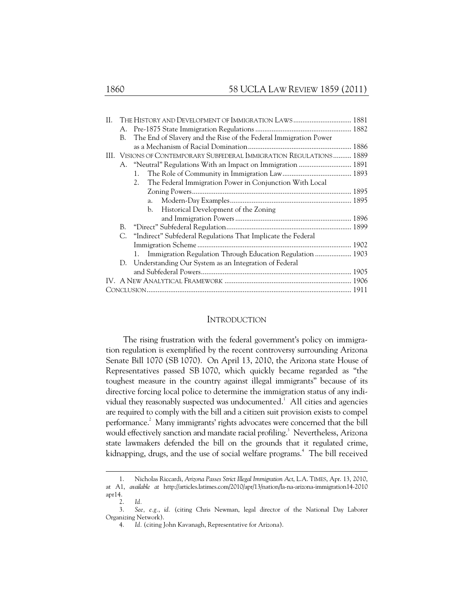| H. |                                                                      | THE HISTORY AND DEVELOPMENT OF IMMIGRATION LAWS 1881             |  |  |  |  |
|----|----------------------------------------------------------------------|------------------------------------------------------------------|--|--|--|--|
|    |                                                                      |                                                                  |  |  |  |  |
|    | В.                                                                   | The End of Slavery and the Rise of the Federal Immigration Power |  |  |  |  |
|    |                                                                      |                                                                  |  |  |  |  |
|    | III. VISIONS OF CONTEMPORARY SUBFEDERAL IMMIGRATION REGULATIONS 1889 |                                                                  |  |  |  |  |
|    |                                                                      | A. "Neutral" Regulations With an Impact on Immigration  1891     |  |  |  |  |
|    |                                                                      | 1.                                                               |  |  |  |  |
|    |                                                                      | The Federal Immigration Power in Conjunction With Local          |  |  |  |  |
|    |                                                                      |                                                                  |  |  |  |  |
|    |                                                                      | a.                                                               |  |  |  |  |
|    |                                                                      | Historical Development of the Zoning<br>b.                       |  |  |  |  |
|    |                                                                      |                                                                  |  |  |  |  |
|    | В.                                                                   |                                                                  |  |  |  |  |
|    |                                                                      | C. "Indirect" Subfederal Regulations That Implicate the Federal  |  |  |  |  |
|    |                                                                      |                                                                  |  |  |  |  |
|    |                                                                      | 1. Immigration Regulation Through Education Regulation  1903     |  |  |  |  |
|    |                                                                      | D. Understanding Our System as an Integration of Federal         |  |  |  |  |
|    |                                                                      |                                                                  |  |  |  |  |
|    |                                                                      |                                                                  |  |  |  |  |
|    |                                                                      |                                                                  |  |  |  |  |
|    |                                                                      |                                                                  |  |  |  |  |

#### INTRODUCTION

The rising frustration with the federal government's policy on immigration regulation is exemplified by the recent controversy surrounding Arizona Senate Bill 1070 (SB 1070). On April 13, 2010, the Arizona state House of Representatives passed SB 1070, which quickly became regarded as "the toughest measure in the country against illegal immigrants" because of its directive forcing local police to determine the immigration status of any individual they reasonably suspected was undocumented.<sup>1</sup> All cities and agencies are required to comply with the bill and a citizen suit provision exists to compel performance.<sup>2</sup> Many immigrants' rights advocates were concerned that the bill would effectively sanction and mandate racial profiling.<sup>3</sup> Nevertheless, Arizona state lawmakers defended the bill on the grounds that it regulated crime, kidnapping, drugs, and the use of social welfare programs.<sup>4</sup> The bill received

-

 <sup>1.</sup> Nicholas Riccardi, *Arizona Passes Strict Illegal Immigration Act*, L.A. TIMES, Apr. 13, 2010, at A1, *available at* http://articles.latimes.com/2010/apr/13/nation/la-na-arizona-immigration14-2010 apr14.

 <sup>2.</sup> *Id.*

 <sup>3.</sup> *See, e.g.*, *id.* (citing Chris Newman, legal director of the National Day Laborer Organizing Network).

 <sup>4.</sup> *Id.* (citing John Kavanagh, Representative for Arizona).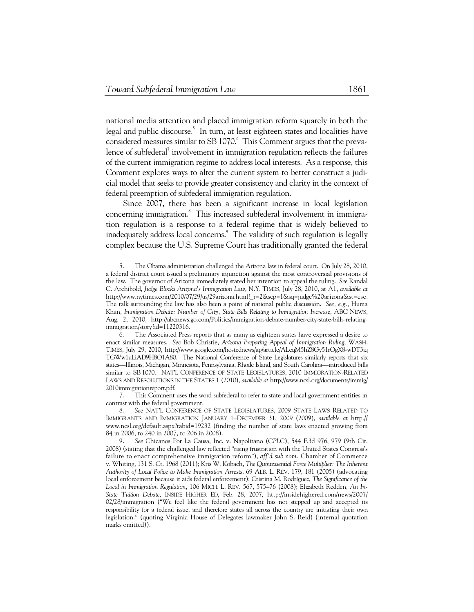1

national media attention and placed immigration reform squarely in both the legal and public discourse.<sup>5</sup> In turn, at least eighteen states and localities have considered measures similar to SB 1070.<sup>6</sup> This Comment argues that the prevalence of subfederal<sup>7</sup> involvement in immigration regulation reflects the failures of the current immigration regime to address local interests. As a response, this Comment explores ways to alter the current system to better construct a judicial model that seeks to provide greater consistency and clarity in the context of federal preemption of subfederal immigration regulation.

Since 2007, there has been a significant increase in local legislation concerning immigration.<sup>8</sup> This increased subfederal involvement in immigration regulation is a response to a federal regime that is widely believed to inadequately address local concerns.<sup>9</sup> The validity of such regulation is legally complex because the U.S. Supreme Court has traditionally granted the federal

 7. This Comment uses the word subfederal to refer to state and local government entities in contrast with the federal government.

 <sup>5.</sup> The Obama administration challenged the Arizona law in federal court. On July 28, 2010, a federal district court issued a preliminary injunction against the most controversial provisions of the law. The governor of Arizona immediately stated her intention to appeal the ruling. *See* Randal C. Archibold, *Judge Blocks Arizona's Immigration Law*, N.Y. TIMES, July 28, 2010, at A1, *available at* http://www.nytimes.com/2010/07/29/us/29arizona.html?\_r=2&scp=1&sq=judge%20arizona&st=cse. The talk surrounding the law has also been a point of national public discussion. *See, e.g.*, Huma Khan, *Immigration Debate: Number of City, State Bills Relating to Immigration Increase*, ABC NEWS, Aug. 2, 2010, http://abcnews.go.com/Politics/immigration-debate-number-city-state-bills-relatingimmigration/story?id=11220316.

 <sup>6.</sup> The Associated Press reports that as many as eighteen states have expressed a desire to enact similar measures. *See* Bob Christie, *Arizona Preparing Appeal of Immigration Ruling*, WASH. TIMES, July 29, 2010, http://www.google.com/hostednews/ap/article/ALeqM5hZ8Gy51rOgX8-wDT3iq TGWw1uLiAD9H8O1A80. The National Conference of State Legislatures similarly reports that six states—Illinois, Michigan, Minnesota, Pennsylvania, Rhode Island, and South Carolina—introduced bills similar to SB 1070. NAT'L CONFERENCE OF STATE LEGISLATURES, 2010 IMMIGRATION-RELATED LAWS AND RESOLUTIONS IN THE STATES 1 (2010), *available at* http://www.ncsl.org/documents/immig/ 2010immigrationreport.pdf.

 <sup>8.</sup> *See* NAT'L CONFERENCE OF STATE LEGISLATURES, 2009 STATE LAWS RELATED TO IMMIGRANTS AND IMMIGRATION JANUARY 1–DECEMBER 31, 2009 (2009), *available at* http:// www.ncsl.org/default.aspx?tabid=19232 (finding the number of state laws enacted growing from 84 in 2006, to 240 in 2007, to 206 in 2008).

 <sup>9.</sup> *See* Chicanos Por La Causa, Inc. v. Napolitano (*CPLC*), 544 F.3d 976, 979 (9th Cir. 2008) (stating that the challenged law reflected "rising frustration with the United States Congress's failure to enact comprehensive immigration reform"), *aff'd sub nom.* Chamber of Commerce v. Whiting, 131 S. Ct. 1968 (2011); Kris W. Kobach, *The Quintessential Force Multiplier: The Inherent Authority of Local Police to Make Immigration Arrests*, 69 ALB. L. REV. 179, 181 (2005) (advocating local enforcement because it aids federal enforcement); Cristina M. Rodríguez, *The Significance of the Local in Immigration Regulation*, 106 MICH. L. REV. 567, 575–76 (2008); Elizabeth Redden, *An In-State Tuition Debate*, INSIDE HIGHER ED, Feb. 28, 2007, http://insidehighered.com/news/2007/ 02/28/immigration ("We feel like the federal government has not stepped up and accepted its responsibility for a federal issue, and therefore states all across the country are initiating their own legislation." (quoting Virginia House of Delegates lawmaker John S. Reid) (internal quotation marks omitted)).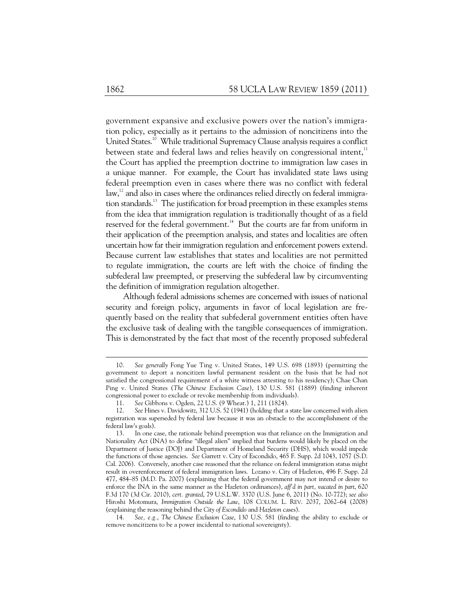government expansive and exclusive powers over the nation's immigration policy, especially as it pertains to the admission of noncitizens into the United States.<sup>10</sup> While traditional Supremacy Clause analysis requires a conflict between state and federal laws and relies heavily on congressional intent, $11$ the Court has applied the preemption doctrine to immigration law cases in a unique manner. For example, the Court has invalidated state laws using federal preemption even in cases where there was no conflict with federal  $\langle$ law, $^{12}$  and also in cases where the ordinances relied directly on federal immigration standards.<sup>13</sup> The justification for broad preemption in these examples stems from the idea that immigration regulation is traditionally thought of as a field reserved for the federal government.<sup>14</sup> But the courts are far from uniform in their application of the preemption analysis, and states and localities are often uncertain how far their immigration regulation and enforcement powers extend. Because current law establishes that states and localities are not permitted to regulate immigration, the courts are left with the choice of finding the subfederal law preempted, or preserving the subfederal law by circumventing the definition of immigration regulation altogether.

Although federal admissions schemes are concerned with issues of national security and foreign policy, arguments in favor of local legislation are frequently based on the reality that subfederal government entities often have the exclusive task of dealing with the tangible consequences of immigration. This is demonstrated by the fact that most of the recently proposed subfederal

-

 <sup>10.</sup> *See generally* Fong Yue Ting v. United States, 149 U.S. 698 (1893) (permitting the government to deport a noncitizen lawful permanent resident on the basis that he had not satisfied the congressional requirement of a white witness attesting to his residency); Chae Chan Ping v. United States (*The Chinese Exclusion Case*), 130 U.S. 581 (1889) (finding inherent congressional power to exclude or revoke membership from individuals).

 <sup>11.</sup> *See* Gibbons v. Ogden, 22 U.S. (9 Wheat.) 1, 211 (1824).

 <sup>12.</sup> *See* Hines v. Davidowitz, 312 U.S. 52 (1941) (holding that a state law concerned with alien registration was superseded by federal law because it was an obstacle to the accomplishment of the federal law's goals).

 <sup>13.</sup> In one case, the rationale behind preemption was that reliance on the Immigration and Nationality Act (INA) to define "illegal alien" implied that burdens would likely be placed on the Department of Justice (DOJ) and Department of Homeland Security (DHS), which would impede the functions of those agencies. *See* Garrett v. City of Escondido, 465 F. Supp. 2d 1043, 1057 (S.D. Cal. 2006). Conversely, another case reasoned that the reliance on federal immigration status might result in overenforcement of federal immigration laws. Lozano v. City of Hazleton, 496 F. Supp. 2d 477, 484–85 (M.D. Pa. 2007) (explaining that the federal government may not intend or desire to enforce the INA in the same manner as the Hazleton ordinances), *aff'd in part, vacated in part*, 620 F.3d 170 (3d Cir. 2010), *cert. granted*, 79 U.S.L.W. 3370 (U.S. June 6, 2011) (No. 10-772); *see also* Hiroshi Motomura, *Immigration Outside the Law*, 108 COLUM. L. REV. 2037, 2062–64 (2008) (explaining the reasoning behind the *City of Escondido* and *Hazleton* cases).

 <sup>14.</sup> *See, e.g.*, *The Chinese Exclusion Case*, 130 U.S. 581 (finding the ability to exclude or remove noncitizens to be a power incidental to national sovereignty).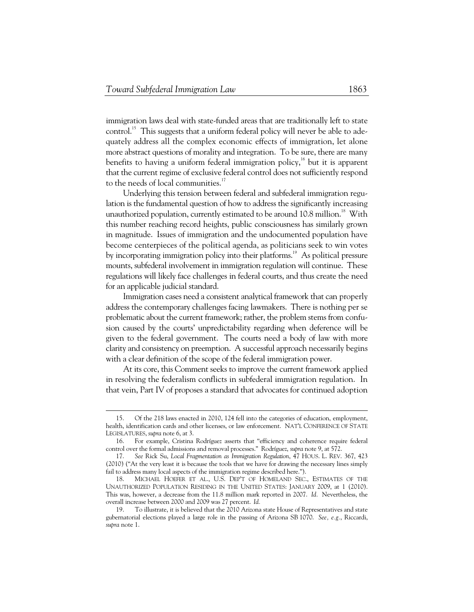-

immigration laws deal with state-funded areas that are traditionally left to state control.<sup>15</sup> This suggests that a uniform federal policy will never be able to adequately address all the complex economic effects of immigration, let alone more abstract questions of morality and integration. To be sure, there are many benefits to having a uniform federal immigration policy,<sup>16</sup> but it is apparent that the current regime of exclusive federal control does not sufficiently respond to the needs of local communities. $17$ 

Underlying this tension between federal and subfederal immigration regulation is the fundamental question of how to address the significantly increasing unauthorized population, currently estimated to be around 10.8 million.<sup>18</sup> With this number reaching record heights, public consciousness has similarly grown in magnitude. Issues of immigration and the undocumented population have become centerpieces of the political agenda, as politicians seek to win votes by incorporating immigration policy into their platforms.<sup>19</sup> As political pressure mounts, subfederal involvement in immigration regulation will continue. These regulations will likely face challenges in federal courts, and thus create the need for an applicable judicial standard.

Immigration cases need a consistent analytical framework that can properly address the contemporary challenges facing lawmakers. There is nothing per se problematic about the current framework; rather, the problem stems from confusion caused by the courts' unpredictability regarding when deference will be given to the federal government. The courts need a body of law with more clarity and consistency on preemption. A successful approach necessarily begins with a clear definition of the scope of the federal immigration power.

At its core, this Comment seeks to improve the current framework applied in resolving the federalism conflicts in subfederal immigration regulation. In that vein, Part IV of proposes a standard that advocates for continued adoption

 <sup>15.</sup> Of the 218 laws enacted in 2010, 124 fell into the categories of education, employment, health, identification cards and other licenses, or law enforcement. NAT'L CONFERENCE OF STATE LEGISLATURES, *supra* note 6, at 3.

 <sup>16.</sup> For example, Cristina Rodríguez asserts that "efficiency and coherence require federal control over the formal admissions and removal processes." Rodríguez, *supra* note 9, at 572.

 <sup>17.</sup> *See* Rick Su, *Local Fragmentation as Immigration Regulation*, 47 HOUS. L. REV. 367, 423 (2010) ("At the very least it is because the tools that we have for drawing the necessary lines simply fail to address many local aspects of the immigration regime described here.").

 <sup>18.</sup> MICHAEL HOEFER ET AL., U.S. DEP'T OF HOMELAND SEC., ESTIMATES OF THE UNAUTHORIZED POPULATION RESIDING IN THE UNITED STATES: JANUARY 2009, at 1 (2010). This was, however, a decrease from the 11.8 million mark reported in 2007. *Id.* Nevertheless, the overall increase between 2000 and 2009 was 27 percent. *Id.*

 <sup>19.</sup> To illustrate, it is believed that the 2010 Arizona state House of Representatives and state gubernatorial elections played a large role in the passing of Arizona SB 1070. *See, e.g.*, Riccardi, *supra* note 1.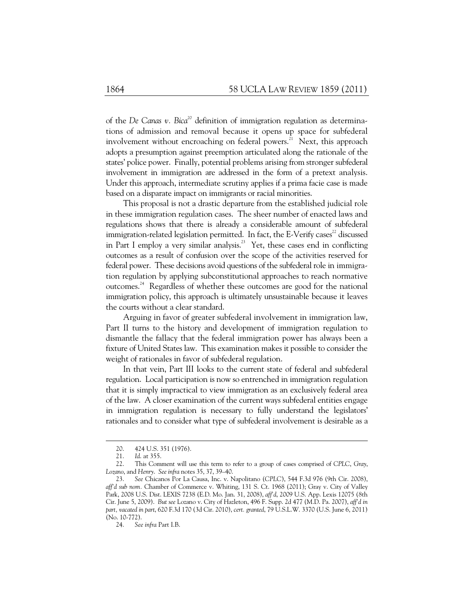of the *De Canas v. Bica*20 definition of immigration regulation as determinations of admission and removal because it opens up space for subfederal involvement without encroaching on federal powers.<sup>21</sup> Next, this approach adopts a presumption against preemption articulated along the rationale of the states' police power. Finally, potential problems arising from stronger subfederal involvement in immigration are addressed in the form of a pretext analysis. Under this approach, intermediate scrutiny applies if a prima facie case is made based on a disparate impact on immigrants or racial minorities.

This proposal is not a drastic departure from the established judicial role in these immigration regulation cases. The sheer number of enacted laws and regulations shows that there is already a considerable amount of subfederal immigration-related legislation permitted. In fact, the E-Verify cases<sup>22</sup> discussed in Part I employ a very similar analysis.<sup>23</sup> Yet, these cases end in conflicting outcomes as a result of confusion over the scope of the activities reserved for federal power. These decisions avoid questions of the subfederal role in immigration regulation by applying subconstitutional approaches to reach normative outcomes.24 Regardless of whether these outcomes are good for the national immigration policy, this approach is ultimately unsustainable because it leaves the courts without a clear standard.

Arguing in favor of greater subfederal involvement in immigration law, Part II turns to the history and development of immigration regulation to dismantle the fallacy that the federal immigration power has always been a fixture of United States law. This examination makes it possible to consider the weight of rationales in favor of subfederal regulation.

In that vein, Part III looks to the current state of federal and subfederal regulation. Local participation is now so entrenched in immigration regulation that it is simply impractical to view immigration as an exclusively federal area of the law. A closer examination of the current ways subfederal entities engage in immigration regulation is necessary to fully understand the legislators' rationales and to consider what type of subfederal involvement is desirable as a

-

 <sup>20. 424</sup> U.S. 351 (1976).

 <sup>21.</sup> *Id*. at 355.

 <sup>22.</sup> This Comment will use this term to refer to a group of cases comprised of *CPLC*, *Gray*, *Lozano*, and *Henry*. *See infra* notes 35, 37, 39–40.

 <sup>23.</sup> *See* Chicanos Por La Causa, Inc. v. Napolitano (*CPLC*), 544 F.3d 976 (9th Cir. 2008), *aff'd sub nom.* Chamber of Commerce v. Whiting, 131 S. Ct. 1968 (2011); Gray v. City of Valley Park, 2008 U.S. Dist. LEXIS 7238 (E.D. Mo. Jan. 31, 2008), *aff'd*, 2009 U.S. App. Lexis 12075 (8th Cir. June 5, 2009). *But see* Lozano v. City of Hazleton, 496 F. Supp. 2d 477 (M.D. Pa. 2007), *aff'd in part, vacated in part*, 620 F.3d 170 (3d Cir. 2010), *cert. granted*, 79 U.S.L.W. 3370 (U.S. June 6, 2011) (No. 10-772).

 <sup>24.</sup> *See infra* Part I.B.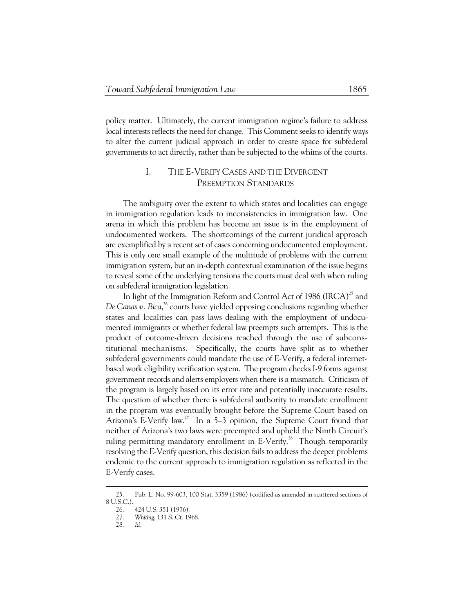policy matter. Ultimately, the current immigration regime's failure to address local interests reflects the need for change. This Comment seeks to identify ways to alter the current judicial approach in order to create space for subfederal governments to act directly, rather than be subjected to the whims of the courts.

# I. THE E-VERIFY CASES AND THE DIVERGENT PREEMPTION STANDARDS

The ambiguity over the extent to which states and localities can engage in immigration regulation leads to inconsistencies in immigration law. One arena in which this problem has become an issue is in the employment of undocumented workers. The shortcomings of the current juridical approach are exemplified by a recent set of cases concerning undocumented employment. This is only one small example of the multitude of problems with the current immigration system, but an in-depth contextual examination of the issue begins to reveal some of the underlying tensions the courts must deal with when ruling on subfederal immigration legislation.

In light of the Immigration Reform and Control Act of 1986 (IRCA)<sup>25</sup> and De Canas v. Bica,<sup>26</sup> courts have yielded opposing conclusions regarding whether states and localities can pass laws dealing with the employment of undocumented immigrants or whether federal law preempts such attempts. This is the product of outcome-driven decisions reached through the use of subconstitutional mechanisms. Specifically, the courts have split as to whether subfederal governments could mandate the use of E-Verify, a federal internetbased work eligibility verification system. The program checks I-9 forms against government records and alerts employers when there is a mismatch. Criticism of the program is largely based on its error rate and potentially inaccurate results. The question of whether there is subfederal authority to mandate enrollment in the program was eventually brought before the Supreme Court based on Arizona's E-Verify law.<sup>27</sup> In a 5–3 opinion, the Supreme Court found that neither of Arizona's two laws were preempted and upheld the Ninth Circuit's ruling permitting mandatory enrollment in  $E$ -Verify.<sup>28</sup> Though temporarily resolving the E-Verify question, this decision fails to address the deeper problems endemic to the current approach to immigration regulation as reflected in the E-Verify cases.

 <sup>25.</sup> Pub. L. No. 99-603, 100 Stat. 3359 (1986) (codified as amended in scattered sections of 8 U.S.C.).

 <sup>26. 424</sup> U.S. 351 (1976).

 <sup>27.</sup> *Whiting*, 131 S. Ct. 1968.

 <sup>28.</sup> *Id.*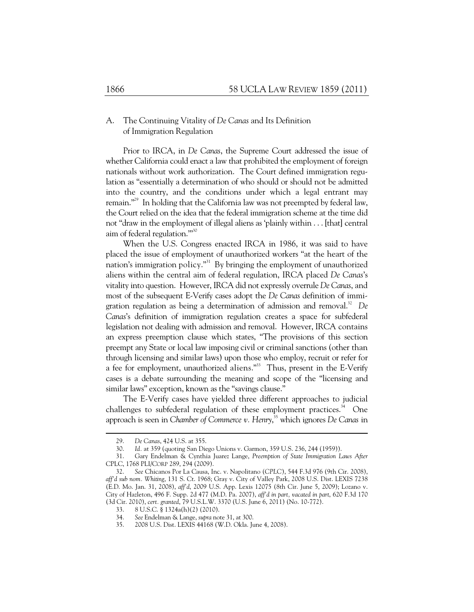# A. The Continuing Vitality of *De Canas* and Its Definition of Immigration Regulation

Prior to IRCA, in *De Canas*, the Supreme Court addressed the issue of whether California could enact a law that prohibited the employment of foreign nationals without work authorization. The Court defined immigration regulation as "essentially a determination of who should or should not be admitted into the country, and the conditions under which a legal entrant may remain."<sup>29</sup> In holding that the California law was not preempted by federal law, the Court relied on the idea that the federal immigration scheme at the time did not "draw in the employment of illegal aliens as 'plainly within . . . [that] central aim of federal regulation.'"30

When the U.S. Congress enacted IRCA in 1986, it was said to have placed the issue of employment of unauthorized workers "at the heart of the nation's immigration policy."<sup>31</sup> By bringing the employment of unauthorized aliens within the central aim of federal regulation, IRCA placed *De Canas*'s vitality into question. However, IRCA did not expressly overrule *De Canas*, and most of the subsequent E-Verify cases adopt the *De Canas* definition of immigration regulation as being a determination of admission and removal.<sup>32</sup> *De Canas*'s definition of immigration regulation creates a space for subfederal legislation not dealing with admission and removal. However, IRCA contains an express preemption clause which states, "The provisions of this section preempt any State or local law imposing civil or criminal sanctions (other than through licensing and similar laws) upon those who employ, recruit or refer for a fee for employment, unauthorized aliens."<sup>33</sup> Thus, present in the E-Verify cases is a debate surrounding the meaning and scope of the "licensing and similar laws" exception, known as the "savings clause."

The E-Verify cases have yielded three different approaches to judicial challenges to subfederal regulation of these employment practices.<sup>34</sup> One approach is seen in *Chamber of Commerce v. Henry*, 35 which ignores *De Canas* in

 <sup>29.</sup> *De Canas*, 424 U.S. at 355.

 <sup>30.</sup> *Id.* at 359 (quoting San Diego Unions v. Garmon, 359 U.S. 236, 244 (1959)).

 <sup>31.</sup> Gary Endelman & Cynthia Juarez Lange, *Preemption of State Immigration Laws After*  CPLC, 1768 PLI/CORP 289, 294 (2009).

 <sup>32.</sup> *See* Chicanos Por La Causa, Inc. v. Napolitano (*CPLC*), 544 F.3d 976 (9th Cir. 2008), *aff'd sub nom. Whiting*, 131 S. Ct. 1968; Gray v. City of Valley Park, 2008 U.S. Dist. LEXIS 7238 (E.D. Mo. Jan. 31, 2008), *aff'd*, 2009 U.S. App. Lexis 12075 (8th Cir. June 5, 2009); Lozano v. City of Hazleton, 496 F. Supp. 2d 477 (M.D. Pa. 2007), *aff'd in part, vacated in part*, 620 F.3d 170 (3d Cir. 2010), *cert. granted*, 79 U.S.L.W. 3370 (U.S. June 6, 2011) (No. 10-772).

 <sup>33. 8</sup> U.S.C. § 1324a(h)(2) (2010).

 <sup>34.</sup> *See* Endelman & Lange, *supra* note 31, at 300.

 <sup>35. 2008</sup> U.S. Dist. LEXIS 44168 (W.D. Okla. June 4, 2008).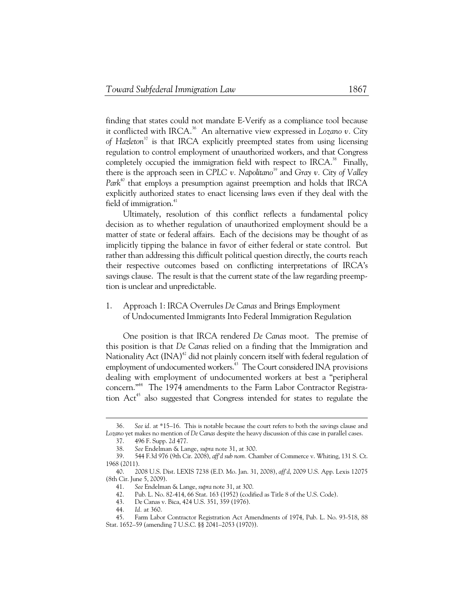finding that states could not mandate E-Verify as a compliance tool because it conflicted with IRCA.<sup>36</sup> An alternative view expressed in *Lozano v. City of Hazleton*<sup>37</sup> is that IRCA explicitly preempted states from using licensing regulation to control employment of unauthorized workers, and that Congress completely occupied the immigration field with respect to IRCA.<sup>38</sup> Finally, there is the approach seen in *CPLC*  $v$ . *Napolitano*<sup>39</sup> and *Gray*  $v$ . *City of Valley Park*<sup>40</sup> that employs a presumption against preemption and holds that IRCA explicitly authorized states to enact licensing laws even if they deal with the field of immigration.<sup>41</sup>

Ultimately, resolution of this conflict reflects a fundamental policy decision as to whether regulation of unauthorized employment should be a matter of state or federal affairs. Each of the decisions may be thought of as implicitly tipping the balance in favor of either federal or state control. But rather than addressing this difficult political question directly, the courts reach their respective outcomes based on conflicting interpretations of IRCA's savings clause. The result is that the current state of the law regarding preemption is unclear and unpredictable.

# 1. Approach 1: IRCA Overrules *De Canas* and Brings Employment of Undocumented Immigrants Into Federal Immigration Regulation

One position is that IRCA rendered *De Canas* moot. The premise of this position is that *De Canas* relied on a finding that the Immigration and Nationality Act  $(INA)^{42}$  did not plainly concern itself with federal regulation of employment of undocumented workers.<sup>43</sup> The Court considered INA provisions dealing with employment of undocumented workers at best a "peripheral concern."44 The 1974 amendments to the Farm Labor Contractor Registration Act<sup>45</sup> also suggested that Congress intended for states to regulate the

44. *Id.* at 360.

<sup>36</sup>*. See id.* at \*15–16. This is notable because the court refers to both the savings clause and *Lozano* yet makes no mention of *De Canas* despite the heavy discussion of this case in parallel cases.

 <sup>37. 496</sup> F. Supp. 2d 477.

 <sup>38.</sup> *See* Endelman & Lange, *supra* note 31, at 300.

 <sup>39. 544</sup> F.3d 976 (9th Cir. 2008), *aff'd sub nom.* Chamber of Commerce v. Whiting, 131 S. Ct. 1968 (2011).

 <sup>40. 2008</sup> U.S. Dist. LEXIS 7238 (E.D. Mo. Jan. 31, 2008), *aff'd*, 2009 U.S. App. Lexis 12075 (8th Cir. June 5, 2009).

 <sup>41.</sup> *See* Endelman & Lange, *supra* note 31, at 300.

 <sup>42.</sup> Pub. L. No. 82-414, 66 Stat. 163 (1952) (codified as Title 8 of the U.S. Code).

 <sup>43.</sup> De Canas v. Bica, 424 U.S. 351, 359 (1976).

 <sup>45.</sup> Farm Labor Contractor Registration Act Amendments of 1974, Pub. L. No. 93-518, 88 Stat. 1652–59 (amending 7 U.S.C. §§ 2041–2053 (1970)).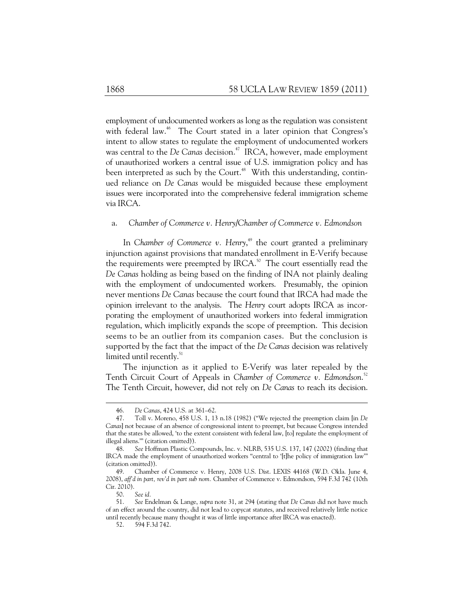employment of undocumented workers as long as the regulation was consistent with federal law.<sup>46</sup> The Court stated in a later opinion that Congress's intent to allow states to regulate the employment of undocumented workers was central to the *De Canas* decision.<sup>47</sup> IRCA, however, made employment of unauthorized workers a central issue of U.S. immigration policy and has been interpreted as such by the Court.<sup>48</sup> With this understanding, continued reliance on *De Canas* would be misguided because these employment issues were incorporated into the comprehensive federal immigration scheme via IRCA.

### a. *Chamber of Commerce v. Henry/Chamber of Commerce v. Edmondson*

In *Chamber of Commerce v. Henry*, 49 the court granted a preliminary injunction against provisions that mandated enrollment in E-Verify because the requirements were preempted by IRCA.<sup>50</sup> The court essentially read the *De Canas* holding as being based on the finding of INA not plainly dealing with the employment of undocumented workers. Presumably, the opinion never mentions *De Canas* because the court found that IRCA had made the opinion irrelevant to the analysis. The *Henry* court adopts IRCA as incorporating the employment of unauthorized workers into federal immigration regulation, which implicitly expands the scope of preemption. This decision seems to be an outlier from its companion cases. But the conclusion is supported by the fact that the impact of the *De Canas* decision was relatively limited until recently.<sup>51</sup>

The injunction as it applied to E-Verify was later repealed by the Tenth Circuit Court of Appeals in *Chamber of Commerce v. Edmondson*. 52 The Tenth Circuit, however, did not rely on *De Canas* to reach its decision.

 <sup>46.</sup> *De Canas*, 424 U.S. at 361–62.

 <sup>47.</sup> Toll v. Moreno, 458 U.S. 1, 13 n.18 (1982) ("We rejected the preemption claim [in *De Canas*] not because of an absence of congressional intent to preempt, but because Congress intended that the states be allowed, 'to the extent consistent with federal law, [to] regulate the employment of illegal aliens.'" (citation omitted)).

 <sup>48.</sup> *See* Hoffman Plastic Compounds, Inc. v. NLRB, 535 U.S. 137, 147 (2002) (finding that IRCA made the employment of unauthorized workers "central to '[t]he policy of immigration law'" (citation omitted)).

 <sup>49.</sup> Chamber of Commerce v. Henry, 2008 U.S. Dist. LEXIS 44168 (W.D. Okla. June 4, 2008), *aff'd in part, rev'd in part sub nom.* Chamber of Commerce v. Edmondson, 594 F.3d 742 (10th Cir. 2010).<br>50.

 <sup>50.</sup> *See id.*

 <sup>51.</sup> *See* Endelman & Lange, *supra* note 31, at 294 (stating that *De Canas* did not have much of an effect around the country, did not lead to copycat statutes, and received relatively little notice until recently because many thought it was of little importance after IRCA was enacted).

 <sup>52. 594</sup> F.3d 742.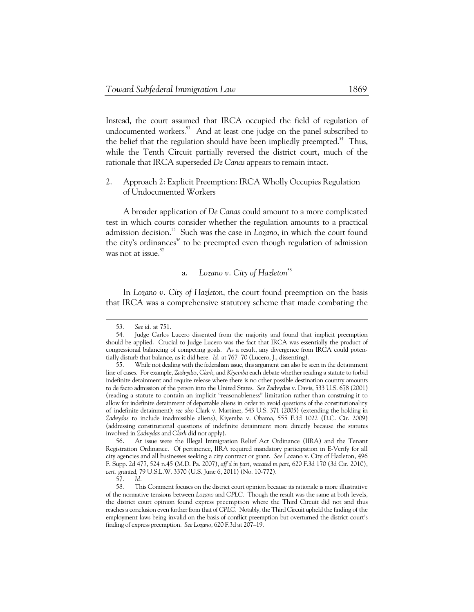Instead, the court assumed that IRCA occupied the field of regulation of undocumented workers.<sup>53</sup> And at least one judge on the panel subscribed to the belief that the regulation should have been impliedly preempted.<sup>54</sup> Thus, while the Tenth Circuit partially reversed the district court, much of the rationale that IRCA superseded *De Canas* appears to remain intact.

2. Approach 2: Explicit Preemption: IRCA Wholly Occupies Regulation of Undocumented Workers

A broader application of *De Canas* could amount to a more complicated test in which courts consider whether the regulation amounts to a practical admission decision.55 Such was the case in *Lozano*, in which the court found the city's ordinances<sup>56</sup> to be preempted even though regulation of admission was not at issue.<sup>57</sup>

# a. *Lozano v. City of Hazleton*<sup>58</sup>

In *Lozano v. City of Hazleton*, the court found preemption on the basis that IRCA was a comprehensive statutory scheme that made combating the

 <sup>53.</sup> *See id.* at 751.

 <sup>54.</sup> Judge Carlos Lucero dissented from the majority and found that implicit preemption should be applied. Crucial to Judge Lucero was the fact that IRCA was essentially the product of congressional balancing of competing goals. As a result, any divergence from IRCA could potentially disturb that balance, as it did here. *Id.* at 767–70 (Lucero, J., dissenting).

 <sup>55.</sup> While not dealing with the federalism issue, this argument can also be seen in the detainment line of cases. For example, *Zadvydas*, *Clark*, and *Kiyemba* each debate whether reading a statute to forbid indefinite detainment and require release where there is no other possible destination country amounts to de facto admission of the person into the United States. *See* Zadvydas v. Davis, 533 U.S. 678 (2001) (reading a statute to contain an implicit "reasonableness" limitation rather than construing it to allow for indefinite detainment of deportable aliens in order to avoid questions of the constitutionality of indefinite detainment); *see also* Clark v. Martinez, 543 U.S. 371 (2005) (extending the holding in *Zadvydas* to include inadmissible aliens); Kiyemba v. Obama, 555 F.3d 1022 (D.C. Cir. 2009) (addressing constitutional questions of indefinite detainment more directly because the statutes involved in *Zadvydas* and *Clark* did not apply).

 <sup>56.</sup> At issue were the Illegal Immigration Relief Act Ordinance (IIRA) and the Tenant Registration Ordinance. Of pertinence, IIRA required mandatory participation in E-Verify for all city agencies and all businesses seeking a city contract or grant. *See* Lozano v. City of Hazleton, 496 F. Supp. 2d 477, 524 n.45 (M.D. Pa. 2007), *aff'd in part, vacated in part*, 620 F.3d 170 (3d Cir. 2010), *cert. granted*, 79 U.S.L.W. 3370 (U.S. June 6, 2011) (No. 10-772).

 <sup>57.</sup> *Id.*

 <sup>58.</sup> This Comment focuses on the district court opinion because its rationale is more illustrative of the normative tensions between *Lozano* and *CPLC*. Though the result was the same at both levels, the district court opinion found express preemption where the Third Circuit did not and thus reaches a conclusion even further from that of *CPLC*. Notably, the Third Circuit upheld the finding of the employment laws being invalid on the basis of conflict preemption but overturned the district court's finding of express preemption. *See Lozano*, 620 F.3d at 207–19.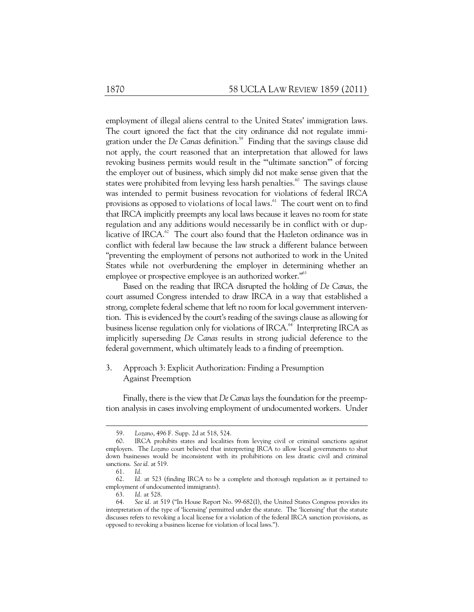employment of illegal aliens central to the United States' immigration laws. The court ignored the fact that the city ordinance did not regulate immigration under the *De Canas* definition.<sup>59</sup> Finding that the savings clause did not apply, the court reasoned that an interpretation that allowed for laws revoking business permits would result in the "'ultimate sanction'" of forcing the employer out of business, which simply did not make sense given that the states were prohibited from levying less harsh penalties. $60$  The savings clause was intended to permit business revocation for violations of federal IRCA provisions as opposed to violations of local laws.<sup>61</sup> The court went on to find that IRCA implicitly preempts any local laws because it leaves no room for state regulation and any additions would necessarily be in conflict with or duplicative of IRCA. $62$  The court also found that the Hazleton ordinance was in conflict with federal law because the law struck a different balance between "preventing the employment of persons not authorized to work in the United States while not overburdening the employer in determining whether an employee or prospective employee is an authorized worker."<sup>63</sup>

Based on the reading that IRCA disrupted the holding of *De Canas*, the court assumed Congress intended to draw IRCA in a way that established a strong, complete federal scheme that left no room for local government intervention. This is evidenced by the court's reading of the savings clause as allowing for business license regulation only for violations of IRCA.<sup>64</sup> Interpreting IRCA as implicitly superseding *De Canas* results in strong judicial deference to the federal government, which ultimately leads to a finding of preemption.

# 3. Approach 3: Explicit Authorization: Finding a Presumption Against Preemption

Finally, there is the view that *De Canas* lays the foundation for the preemption analysis in cases involving employment of undocumented workers. Under

 <sup>59.</sup> *Lozano*, 496 F*.* Supp. 2d at 518, 524.

IRCA prohibits states and localities from levying civil or criminal sanctions against employers. The *Lozano* court believed that interpreting IRCA to allow local governments to shut down businesses would be inconsistent with its prohibitions on less drastic civil and criminal sanctions. *See id.* at 519.

 <sup>61.</sup> *Id.*

 <sup>62.</sup> *Id.* at 523 (finding IRCA to be a complete and thorough regulation as it pertained to employment of undocumented immigrants).

 <sup>63.</sup> *Id.* at 528.

 <sup>64.</sup> *See id.* at 519 ("In House Report No. 99-682(I), the United States Congress provides its interpretation of the type of 'licensing' permitted under the statute. The 'licensing' that the statute discusses refers to revoking a local license for a violation of the federal IRCA sanction provisions, as opposed to revoking a business license for violation of local laws.").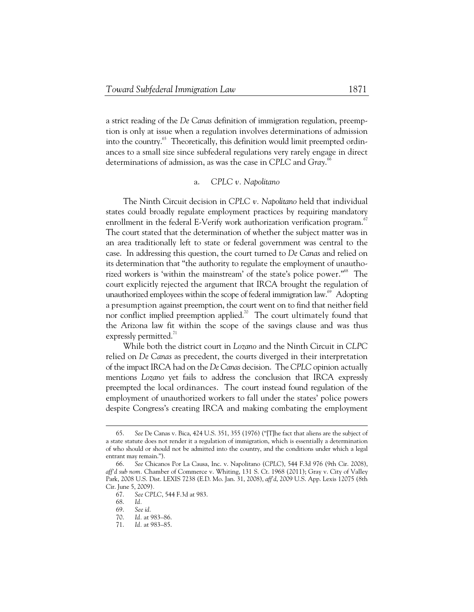a strict reading of the *De Canas* definition of immigration regulation, preemption is only at issue when a regulation involves determinations of admission into the country.<sup>65</sup> Theoretically, this definition would limit preempted ordinances to a small size since subfederal regulations very rarely engage in direct determinations of admission, as was the case in *CPLC* and *Gray*. 66

### a. *CPLC v. Napolitano*

The Ninth Circuit decision in *CPLC v. Napolitano* held that individual states could broadly regulate employment practices by requiring mandatory enrollment in the federal E-Verify work authorization verification program.<sup>67</sup> The court stated that the determination of whether the subject matter was in an area traditionally left to state or federal government was central to the case. In addressing this question, the court turned to *De Canas* and relied on its determination that "the authority to regulate the employment of unauthorized workers is 'within the mainstream' of the state's police power."<sup>68</sup> The court explicitly rejected the argument that IRCA brought the regulation of unauthorized employees within the scope of federal immigration law.<sup>69</sup> Adopting a presumption against preemption, the court went on to find that neither field nor conflict implied preemption applied.<sup>70</sup> The court ultimately found that the Arizona law fit within the scope of the savings clause and was thus expressly permitted.<sup>71</sup>

While both the district court in *Lozano* and the Ninth Circuit in *CLPC* relied on *De Canas* as precedent, the courts diverged in their interpretation of the impact IRCA had on the *De Canas* decision. The *CPLC* opinion actually mentions *Lozano* yet fails to address the conclusion that IRCA expressly preempted the local ordinances. The court instead found regulation of the employment of unauthorized workers to fall under the states' police powers despite Congress's creating IRCA and making combating the employment

 <sup>65.</sup> *See* De Canas v. Bica, 424 U.S. 351, 355 (1976) ("[T]he fact that aliens are the subject of a state statute does not render it a regulation of immigration, which is essentially a determination of who should or should not be admitted into the country, and the conditions under which a legal entrant may remain.").

 <sup>66.</sup> *See* Chicanos Por La Causa, Inc. v. Napolitano (*CPLC*), 544 F.3d 976 (9th Cir. 2008), *aff'd sub nom.* Chamber of Commerce v. Whiting, 131 S. Ct. 1968 (2011); Gray v. City of Valley Park, 2008 U.S. Dist. LEXIS 7238 (E.D. Mo. Jan. 31, 2008), *aff'd*, 2009 U.S. App. Lexis 12075 (8th Cir. June 5, 2009)*.*

 <sup>67.</sup> *See CPLC*, 544 F.3d at 983.

 <sup>68.</sup> *Id.*

 <sup>69.</sup> *See id.*

 <sup>70.</sup> *Id.* at 983–86.

 <sup>71.</sup> *Id.* at 983–85.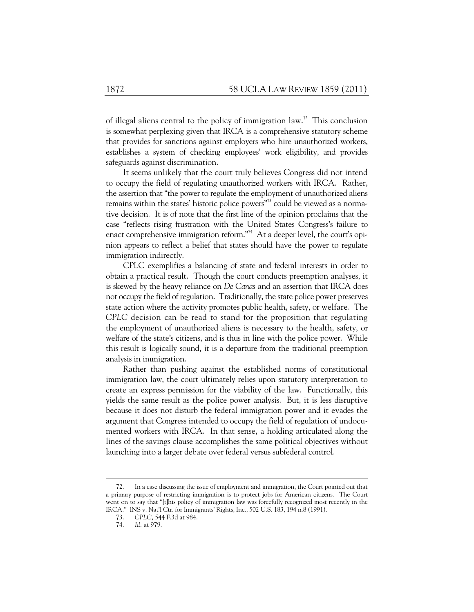of illegal aliens central to the policy of immigration law.<sup>72</sup> This conclusion is somewhat perplexing given that IRCA is a comprehensive statutory scheme that provides for sanctions against employers who hire unauthorized workers, establishes a system of checking employees' work eligibility, and provides safeguards against discrimination.

It seems unlikely that the court truly believes Congress did not intend to occupy the field of regulating unauthorized workers with IRCA. Rather, the assertion that "the power to regulate the employment of unauthorized aliens remains within the states' historic police powers"<sup>3</sup> could be viewed as a normative decision. It is of note that the first line of the opinion proclaims that the case "reflects rising frustration with the United States Congress's failure to enact comprehensive immigration reform."<sup>74</sup> At a deeper level, the court's opinion appears to reflect a belief that states should have the power to regulate immigration indirectly.

CPLC exemplifies a balancing of state and federal interests in order to obtain a practical result. Though the court conducts preemption analyses, it is skewed by the heavy reliance on *De Canas* and an assertion that IRCA does not occupy the field of regulation. Traditionally, the state police power preserves state action where the activity promotes public health, safety, or welfare. The *CPLC* decision can be read to stand for the proposition that regulating the employment of unauthorized aliens is necessary to the health, safety, or welfare of the state's citizens, and is thus in line with the police power. While this result is logically sound, it is a departure from the traditional preemption analysis in immigration.

Rather than pushing against the established norms of constitutional immigration law, the court ultimately relies upon statutory interpretation to create an express permission for the viability of the law. Functionally, this yields the same result as the police power analysis. But, it is less disruptive because it does not disturb the federal immigration power and it evades the argument that Congress intended to occupy the field of regulation of undocumented workers with IRCA. In that sense, a holding articulated along the lines of the savings clause accomplishes the same political objectives without launching into a larger debate over federal versus subfederal control.

 <sup>72.</sup> In a case discussing the issue of employment and immigration, the Court pointed out that a primary purpose of restricting immigration is to protect jobs for American citizens. The Court went on to say that "[t]his policy of immigration law was forcefully recognized most recently in the IRCA." INS v. Nat'l Ctr. for Immigrants' Rights, Inc., 502 U.S. 183, 194 n.8 (1991).

 <sup>73.</sup> *CPLC*, 544 F.3d at 984.

 <sup>74.</sup> *Id.* at 979.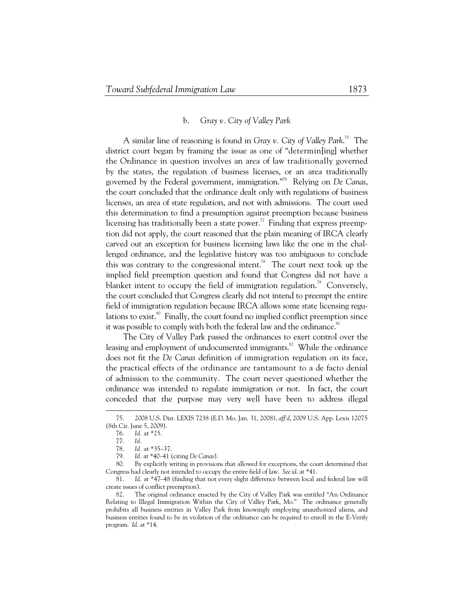## b. *Gray v. City of Valley Park*

A similar line of reasoning is found in *Gray v. City of Valley Park*. 75 The district court began by framing the issue as one of "determin[ing] whether the Ordinance in question involves an area of law traditionally governed by the states, the regulation of business licenses, or an area traditionally governed by the Federal government, immigration."76 Relying on *De Canas*, the court concluded that the ordinance dealt only with regulations of business licenses, an area of state regulation, and not with admissions. The court used this determination to find a presumption against preemption because business licensing has traditionally been a state power.<sup>77</sup> Finding that express preemption did not apply, the court reasoned that the plain meaning of IRCA clearly carved out an exception for business licensing laws like the one in the challenged ordinance, and the legislative history was too ambiguous to conclude this was contrary to the congressional intent.<sup>78</sup> The court next took up the implied field preemption question and found that Congress did not have a blanket intent to occupy the field of immigration regulation.<sup>79</sup> Conversely, the court concluded that Congress clearly did not intend to preempt the entire field of immigration regulation because IRCA allows some state licensing regulations to exist. $80$  Finally, the court found no implied conflict preemption since it was possible to comply with both the federal law and the ordinance.<sup>81</sup>

The City of Valley Park passed the ordinances to exert control over the leasing and employment of undocumented immigrants.<sup>82</sup> While the ordinance does not fit the *De Canas* definition of immigration regulation on its face, the practical effects of the ordinance are tantamount to a de facto denial of admission to the community. The court never questioned whether the ordinance was intended to regulate immigration or not. In fact, the court conceded that the purpose may very well have been to address illegal

-

 <sup>75. 2008</sup> U.S. Dist. LEXIS 7238 (E.D. Mo. Jan. 31, 2008), *aff'd*, 2009 U.S. App. Lexis 12075 (8th Cir. June 5, 2009).

 <sup>76.</sup> *Id.* at \*25.

 <sup>77.</sup> *Id.*

 <sup>78.</sup> *Id.* at \*35–37.

 <sup>79.</sup> *Id.* at \*40–41 (citing *De Canas*).

 <sup>80.</sup> By explicitly writing in provisions that allowed for exceptions, the court determined that Congress had clearly not intended to occupy the entire field of law. *See id*. at \*41.

 <sup>81.</sup> *Id.* at \*47–48 (finding that not every slight difference between local and federal law will create issues of conflict preemption).

 <sup>82.</sup> The original ordinance enacted by the City of Valley Park was entitled "An Ordinance Relating to Illegal Immigration Within the City of Valley Park, Mo." The ordinance generally prohibits all business entities in Valley Park from knowingly employing unauthorized aliens, and business entities found to be in violation of the ordinance can be required to enroll in the E-Verify program. *Id*. at \*14.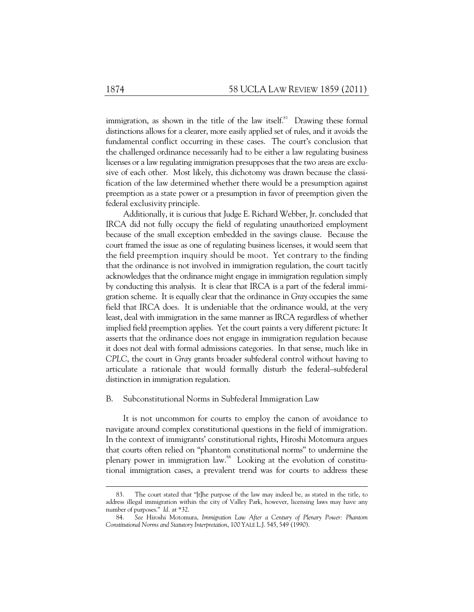immigration, as shown in the title of the law itself.<sup>83</sup> Drawing these formal distinctions allows for a clearer, more easily applied set of rules, and it avoids the fundamental conflict occurring in these cases. The court's conclusion that the challenged ordinance necessarily had to be either a law regulating business licenses or a law regulating immigration presupposes that the two areas are exclusive of each other. Most likely, this dichotomy was drawn because the classification of the law determined whether there would be a presumption against preemption as a state power or a presumption in favor of preemption given the federal exclusivity principle.

Additionally, it is curious that Judge E. Richard Webber, Jr. concluded that IRCA did not fully occupy the field of regulating unauthorized employment because of the small exception embedded in the savings clause. Because the court framed the issue as one of regulating business licenses, it would seem that the field preemption inquiry should be moot. Yet contrary to the finding that the ordinance is not involved in immigration regulation, the court tacitly acknowledges that the ordinance might engage in immigration regulation simply by conducting this analysis. It is clear that IRCA is a part of the federal immigration scheme. It is equally clear that the ordinance in *Gray* occupies the same field that IRCA does. It is undeniable that the ordinance would, at the very least, deal with immigration in the same manner as IRCA regardless of whether implied field preemption applies. Yet the court paints a very different picture: It asserts that the ordinance does not engage in immigration regulation because it does not deal with formal admissions categories. In that sense, much like in *CPLC*, the court in *Gray* grants broader subfederal control without having to articulate a rationale that would formally disturb the federal–subfederal distinction in immigration regulation.

#### B. Subconstitutional Norms in Subfederal Immigration Law

It is not uncommon for courts to employ the canon of avoidance to navigate around complex constitutional questions in the field of immigration. In the context of immigrants' constitutional rights, Hiroshi Motomura argues that courts often relied on "phantom constitutional norms" to undermine the plenary power in immigration law.<sup>84</sup> Looking at the evolution of constitutional immigration cases, a prevalent trend was for courts to address these

 <sup>83.</sup> The court stated that "[t]he purpose of the law may indeed be, as stated in the title, to address illegal immigration within the city of Valley Park, however, licensing laws may have any number of purposes." *Id.* at \*32.

 <sup>84.</sup> *See* Hiroshi Motomura, *Immigration Law After a Century of Plenary Power: Phantom Constitutional Norms and Statutory Interpretation*, 100 YALE L.J. 545, 549 (1990).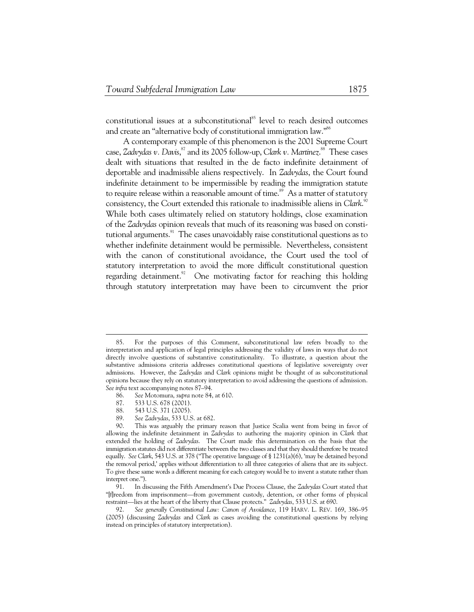constitutional issues at a subconstitutional<sup>85</sup> level to reach desired outcomes and create an "alternative body of constitutional immigration law."<sup>86</sup>

A contemporary example of this phenomenon is the 2001 Supreme Court case, *Zadvydas v. Davis*, 87 and its 2005 follow-up, *Clark v. Martinez*. 88 These cases dealt with situations that resulted in the de facto indefinite detainment of deportable and inadmissible aliens respectively. In *Zadvydas*, the Court found indefinite detainment to be impermissible by reading the immigration statute to require release within a reasonable amount of time. $\frac{89}{10}$  As a matter of statutory consistency, the Court extended this rationale to inadmissible aliens in *Clark*. 90 While both cases ultimately relied on statutory holdings, close examination of the *Zadvydas* opinion reveals that much of its reasoning was based on constitutional arguments.<sup>91</sup> The cases unavoidably raise constitutional questions as to whether indefinite detainment would be permissible. Nevertheless, consistent with the canon of constitutional avoidance, the Court used the tool of statutory interpretation to avoid the more difficult constitutional question regarding detainment.<sup>92</sup> One motivating factor for reaching this holding through statutory interpretation may have been to circumvent the prior

- 86. *See* Motomura, *supra* note 84, at 610.
- 87. 533 U.S. 678 (2001).

- 88. 543 U.S. 371 (2005).
- 89. *See Zadvydas*, 533 U.S. at 682.

 <sup>85.</sup> For the purposes of this Comment, subconstitutional law refers broadly to the interpretation and application of legal principles addressing the validity of laws in ways that do not directly involve questions of substantive constitutionality. To illustrate, a question about the substantive admissions criteria addresses constitutional questions of legislative sovereignty over admissions. However, the *Zadvydas* and *Clark* opinions might be thought of as subconstitutional opinions because they rely on statutory interpretation to avoid addressing the questions of admission. *See infra* text accompanying notes 87–94.

 <sup>90.</sup> This was arguably the primary reason that Justice Scalia went from being in favor of allowing the indefinite detainment in *Zadvydas* to authoring the majority opinion in *Clark* that extended the holding of *Zadvydas*. The Court made this determination on the basis that the immigration statutes did not differentiate between the two classes and that they should therefore be treated equally. *See Clark*, 543 U.S. at 378 ("The operative language of § 1231(a)(6), 'may be detained beyond the removal period,' applies without differentiation to all three categories of aliens that are its subject. To give these same words a different meaning for each category would be to invent a statute rather than interpret one.").

 <sup>91.</sup> In discussing the Fifth Amendment's Due Process Clause, the *Zadvydas* Court stated that "[f]reedom from imprisonment—from government custody, detention, or other forms of physical restraint—lies at the heart of the liberty that Clause protects." *Zadvydas*, 533 U.S. at 690.

 <sup>92.</sup> *See generally Constitutional Law: Canon of Avoidance*, 119 HARV. L. REV. 169, 386–95 (2005) (discussing *Zadvydas* and *Clark* as cases avoiding the constitutional questions by relying instead on principles of statutory interpretation).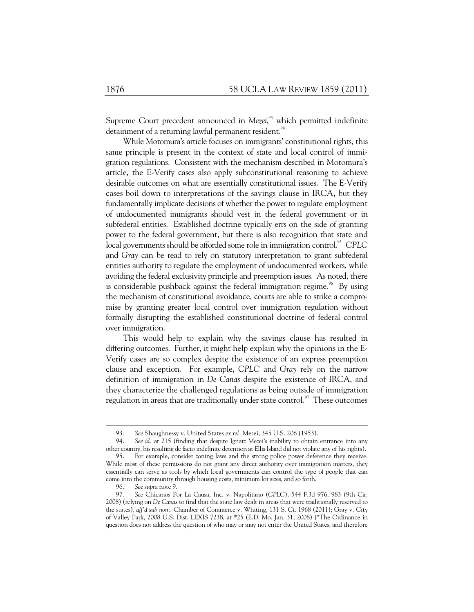Supreme Court precedent announced in *Mezei*,<sup>33</sup> which permitted indefinite detainment of a returning lawful permanent resident.<sup>94</sup>

While Motomura's article focuses on immigrants' constitutional rights, this same principle is present in the context of state and local control of immigration regulations. Consistent with the mechanism described in Motomura's article, the E-Verify cases also apply subconstitutional reasoning to achieve desirable outcomes on what are essentially constitutional issues. The E-Verify cases boil down to interpretations of the savings clause in IRCA, but they fundamentally implicate decisions of whether the power to regulate employment of undocumented immigrants should vest in the federal government or in subfederal entities. Established doctrine typically errs on the side of granting power to the federal government, but there is also recognition that state and local governments should be afforded some role in immigration control.<sup>95</sup> CPLC and *Gray* can be read to rely on statutory interpretation to grant subfederal entities authority to regulate the employment of undocumented workers, while avoiding the federal exclusivity principle and preemption issues. As noted, there is considerable pushback against the federal immigration regime.<sup>96</sup> By using the mechanism of constitutional avoidance, courts are able to strike a compromise by granting greater local control over immigration regulation without formally disrupting the established constitutional doctrine of federal control over immigration.

This would help to explain why the savings clause has resulted in differing outcomes. Further, it might help explain why the opinions in the E-Verify cases are so complex despite the existence of an express preemption clause and exception. For example, *CPLC* and *Gray* rely on the narrow definition of immigration in *De Canas* despite the existence of IRCA, and they characterize the challenged regulations as being outside of immigration regulation in areas that are traditionally under state control. $97$  These outcomes

 <sup>93.</sup> *See* Shaughnessy v. United States *ex rel.* Mezei, 345 U.S. 206 (1953).

See *id.* at 215 (finding that despite Ignatz Mezei's inability to obtain entrance into any other country, his resulting de facto indefinite detention at Ellis Island did not violate any of his rights).

 <sup>95.</sup> For example, consider zoning laws and the strong police power deference they receive. While most of these permissions do not grant any direct authority over immigration matters, they essentially can serve as tools by which local governments can control the type of people that can come into the community through housing costs, minimum lot sizes, and so forth.

 <sup>96.</sup> *See supra* note 9.

 <sup>97.</sup> *See* Chicanos Por La Causa, Inc. v. Napolitano (*CPLC*), 544 F.3d 976, 983 (9th Cir. 2008) (relying on *De Canas* to find that the state law dealt in areas that were traditionally reserved to the states), *aff'd sub nom.* Chamber of Commerce v. Whiting, 131 S. Ct. 1968 (2011); Gray v. City of Valley Park, 2008 U.S. Dist. LEXIS 7238, at \*25 (E.D. Mo. Jan. 31, 2008) ("The Ordinance in question does not address the question of who may or may not enter the United States, and therefore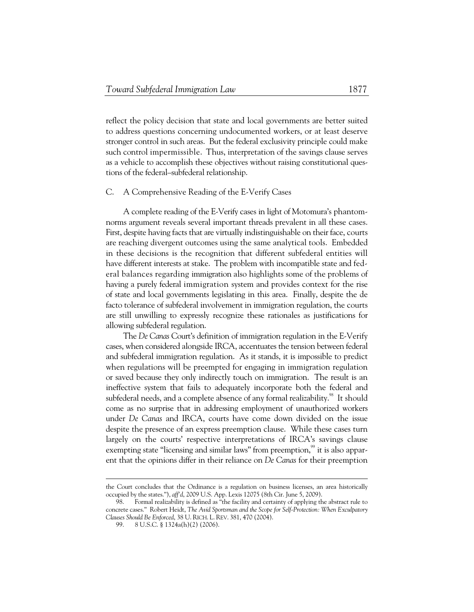reflect the policy decision that state and local governments are better suited to address questions concerning undocumented workers, or at least deserve stronger control in such areas. But the federal exclusivity principle could make such control impermissible. Thus, interpretation of the savings clause serves as a vehicle to accomplish these objectives without raising constitutional questions of the federal–subfederal relationship.

## C. A Comprehensive Reading of the E-Verify Cases

A complete reading of the E-Verify cases in light of Motomura's phantomnorms argument reveals several important threads prevalent in all these cases. First, despite having facts that are virtually indistinguishable on their face, courts are reaching divergent outcomes using the same analytical tools. Embedded in these decisions is the recognition that different subfederal entities will have different interests at stake. The problem with incompatible state and federal balances regarding immigration also highlights some of the problems of having a purely federal immigration system and provides context for the rise of state and local governments legislating in this area. Finally, despite the de facto tolerance of subfederal involvement in immigration regulation, the courts are still unwilling to expressly recognize these rationales as justifications for allowing subfederal regulation.

The *De Canas* Court's definition of immigration regulation in the E-Verify cases, when considered alongside IRCA, accentuates the tension between federal and subfederal immigration regulation. As it stands, it is impossible to predict when regulations will be preempted for engaging in immigration regulation or saved because they only indirectly touch on immigration. The result is an ineffective system that fails to adequately incorporate both the federal and subfederal needs, and a complete absence of any formal realizability.<sup>98</sup> It should come as no surprise that in addressing employment of unauthorized workers under *De Canas* and IRCA, courts have come down divided on the issue despite the presence of an express preemption clause. While these cases turn largely on the courts' respective interpretations of IRCA's savings clause exempting state "licensing and similar laws" from preemption, <sup>99</sup> it is also apparent that the opinions differ in their reliance on *De Canas* for their preemption

the Court concludes that the Ordinance is a regulation on business licenses, an area historically occupied by the states."), *aff'd*, 2009 U.S. App. Lexis 12075 (8th Cir. June 5, 2009).

Formal realizability is defined as "the facility and certainty of applying the abstract rule to concrete cases." Robert Heidt, *The Avid Sportsman and the Scope for Self-Protection: When Exculpatory Clauses Should Be Enforced*, 38 U. RICH. L. REV. 381, 470 (2004).

 <sup>99. 8</sup> U.S.C. § 1324a(h)(2) (2006).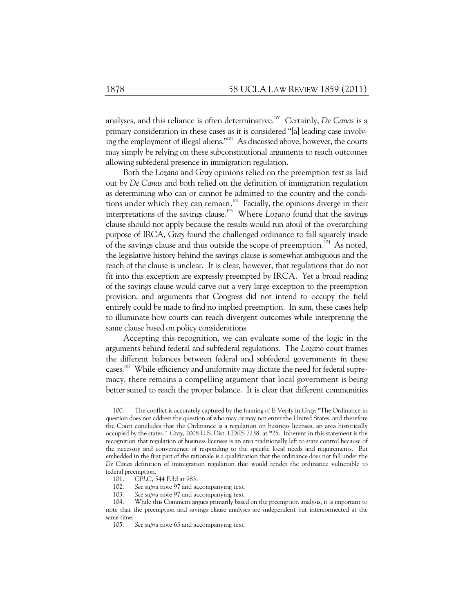analyses, and this reliance is often determinative.<sup>100</sup> Certainly, *De Canas* is a primary consideration in these cases as it is considered "[a] leading case involving the employment of illegal aliens."101 As discussed above, however, the courts may simply be relying on these subconstitutional arguments to reach outcomes allowing subfederal presence in immigration regulation.

Both the *Lozano* and *Gray* opinions relied on the preemption test as laid out by *De Canas* and both relied on the definition of immigration regulation as determining who can or cannot be admitted to the country and the conditions under which they can remain.<sup>102</sup> Facially, the opinions diverge in their interpretations of the savings clause.<sup>103</sup> Where *Lozano* found that the savings clause should not apply because the results would run afoul of the overarching purpose of IRCA, *Gray* found the challenged ordinance to fall squarely inside of the savings clause and thus outside the scope of preemption.<sup>104</sup> As noted, the legislative history behind the savings clause is somewhat ambiguous and the reach of the clause is unclear. It is clear, however, that regulations that do not fit into this exception are expressly preempted by IRCA. Yet a broad reading of the savings clause would carve out a very large exception to the preemption provision, and arguments that Congress did not intend to occupy the field entirely could be made to find no implied preemption. In sum, these cases help to illuminate how courts can reach divergent outcomes while interpreting the same clause based on policy considerations.

Accepting this recognition, we can evaluate some of the logic in the arguments behind federal and subfederal regulations. The *Lozano* court frames the different balances between federal and subfederal governments in these cases.<sup>105</sup> While efficiency and uniformity may dictate the need for federal supremacy, there remains a compelling argument that local government is being better suited to reach the proper balance. It is clear that different communities

 <sup>100.</sup> The conflict is accurately captured by the framing of E-Verify in *Gray*: "The Ordinance in question does not address the question of who may or may not enter the United States, and therefore the Court concludes that the Ordinance is a regulation on business licenses, an area historically occupied by the states." *Gray*, 2008 U.S. Dist. LEXIS 7238, at \*25. Inherent in this statement is the recognition that regulation of business licenses is an area traditionally left to state control because of the necessity and convenience of responding to the specific local needs and requirements. But embedded in the first part of the rationale is a qualification that the ordinance does not fall under the *De Canas* definition of immigration regulation that would render the ordinance vulnerable to federal preemption.

 <sup>101.</sup> *CPLC*, 544 F.3d at 983.

 <sup>102.</sup> *See supra* note 97 and accompanying text.

See *supra* note 97 and accompanying text.

 <sup>104.</sup> While this Comment argues primarily based on the preemption analysis, it is important to note that the preemption and savings clause analyses are independent but interconnected at the same time.

 <sup>105.</sup> *See supra* note 63 and accompanying text.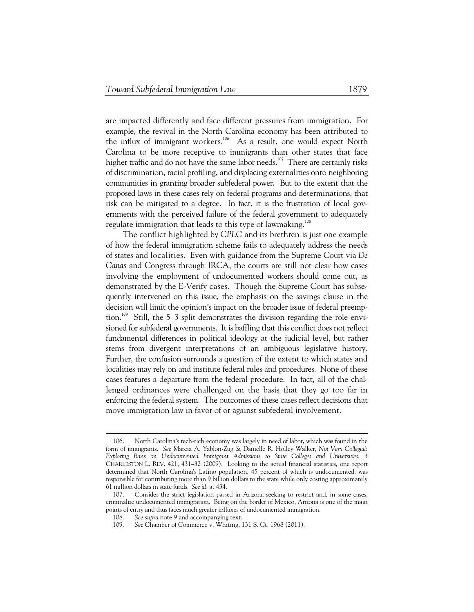are impacted differently and face different pressures from immigration. For example, the revival in the North Carolina economy has been attributed to the influx of immigrant workers.<sup>106</sup> As a result, one would expect North Carolina to be more receptive to immigrants than other states that face higher traffic and do not have the same labor needs.<sup>107</sup> There are certainly risks of discrimination, racial profiling, and displacing externalities onto neighboring communities in granting broader subfederal power. But to the extent that the proposed laws in these cases rely on federal programs and determinations, that risk can be mitigated to a degree. In fact, it is the frustration of local governments with the perceived failure of the federal government to adequately regulate immigration that leads to this type of lawmaking.<sup>108</sup>

The conflict highlighted by *CPLC* and its brethren is just one example of how the federal immigration scheme fails to adequately address the needs of states and localities. Even with guidance from the Supreme Court via *De Canas* and Congress through IRCA, the courts are still not clear how cases involving the employment of undocumented workers should come out, as demonstrated by the E-Verify cases. Though the Supreme Court has subsequently intervened on this issue, the emphasis on the savings clause in the decision will limit the opinion's impact on the broader issue of federal preemption.<sup>109</sup> Still, the 5–3 split demonstrates the division regarding the role envisioned for subfederal governments. It is baffling that this conflict does not reflect fundamental differences in political ideology at the judicial level, but rather stems from divergent interpretations of an ambiguous legislative history. Further, the confusion surrounds a question of the extent to which states and localities may rely on and institute federal rules and procedures. None of these cases features a departure from the federal procedure. In fact, all of the challenged ordinances were challenged on the basis that they go too far in enforcing the federal system. The outcomes of these cases reflect decisions that move immigration law in favor of or against subfederal involvement.

 <sup>106.</sup> North Carolina's tech-rich economy was largely in need of labor, which was found in the form of immigrants. *See* Marcia A. Yablon-Zug & Danielle R. Holley Walker, *Not Very Collegial: Exploring Bans on Undocumented Immigrant Admissions to State Colleges and Universities*, 3 CHARLESTON L. REV. 421, 431–32 (2009). Looking to the actual financial statistics, one report determined that North Carolina's Latino population, 45 percent of which is undocumented, was responsible for contributing more than 9 billion dollars to the state while only costing approximately 61 million dollars in state funds. *See id.* at 434.

 <sup>107.</sup> Consider the strict legislation passed in Arizona seeking to restrict and, in some cases, criminalize undocumented immigration. Being on the border of Mexico, Arizona is one of the main points of entry and thus faces much greater influxes of undocumented immigration.

 <sup>108.</sup> *See supra* note 9 and accompanying text.

 <sup>109.</sup> *See* Chamber of Commerce v. Whiting, 131 S. Ct. 1968 (2011).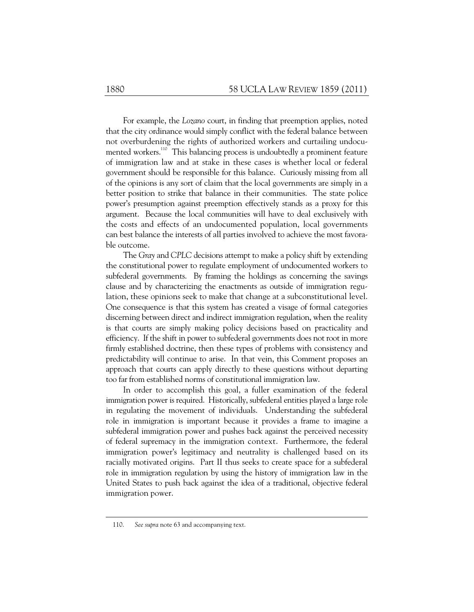For example, the *Lozano* court, in finding that preemption applies, noted that the city ordinance would simply conflict with the federal balance between not overburdening the rights of authorized workers and curtailing undocumented workers.<sup>110</sup> This balancing process is undoubtedly a prominent feature of immigration law and at stake in these cases is whether local or federal government should be responsible for this balance. Curiously missing from all of the opinions is any sort of claim that the local governments are simply in a better position to strike that balance in their communities. The state police power's presumption against preemption effectively stands as a proxy for this argument. Because the local communities will have to deal exclusively with the costs and effects of an undocumented population, local governments can best balance the interests of all parties involved to achieve the most favorable outcome.

The *Gray* and *CPLC* decisions attempt to make a policy shift by extending the constitutional power to regulate employment of undocumented workers to subfederal governments. By framing the holdings as concerning the savings clause and by characterizing the enactments as outside of immigration regulation, these opinions seek to make that change at a subconstitutional level. One consequence is that this system has created a visage of formal categories discerning between direct and indirect immigration regulation, when the reality is that courts are simply making policy decisions based on practicality and efficiency. If the shift in power to subfederal governments does not root in more firmly established doctrine, then these types of problems with consistency and predictability will continue to arise. In that vein, this Comment proposes an approach that courts can apply directly to these questions without departing too far from established norms of constitutional immigration law.

In order to accomplish this goal, a fuller examination of the federal immigration power is required. Historically, subfederal entities played a large role in regulating the movement of individuals. Understanding the subfederal role in immigration is important because it provides a frame to imagine a subfederal immigration power and pushes back against the perceived necessity of federal supremacy in the immigration context. Furthermore, the federal immigration power's legitimacy and neutrality is challenged based on its racially motivated origins. Part II thus seeks to create space for a subfederal role in immigration regulation by using the history of immigration law in the United States to push back against the idea of a traditional, objective federal immigration power.

110. *See supra* note 63 and accompanying text.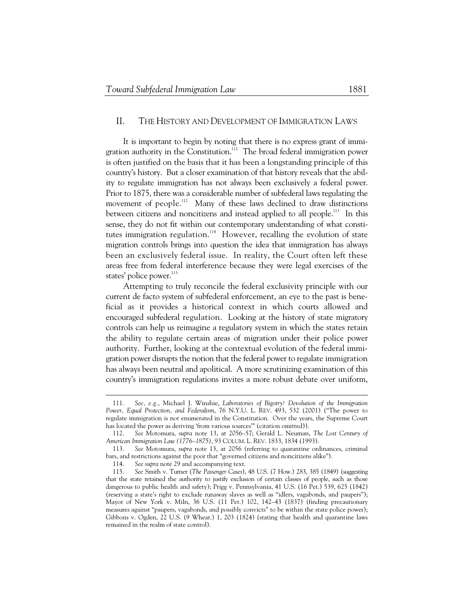## II. THE HISTORY AND DEVELOPMENT OF IMMIGRATION LAWS

It is important to begin by noting that there is no express grant of immigration authority in the Constitution.<sup>111</sup> The broad federal immigration power is often justified on the basis that it has been a longstanding principle of this country's history. But a closer examination of that history reveals that the ability to regulate immigration has not always been exclusively a federal power. Prior to 1875, there was a considerable number of subfederal laws regulating the movement of people.<sup>112</sup> Many of these laws declined to draw distinctions between citizens and noncitizens and instead applied to all people.<sup>113</sup> In this sense, they do not fit within our contemporary understanding of what constitutes immigration regulation.<sup>114</sup> However, recalling the evolution of state migration controls brings into question the idea that immigration has always been an exclusively federal issue. In reality, the Court often left these areas free from federal interference because they were legal exercises of the states' police power.<sup>115</sup>

Attempting to truly reconcile the federal exclusivity principle with our current de facto system of subfederal enforcement, an eye to the past is beneficial as it provides a historical context in which courts allowed and encouraged subfederal regulation. Looking at the history of state migratory controls can help us reimagine a regulatory system in which the states retain the ability to regulate certain areas of migration under their police power authority. Further, looking at the contextual evolution of the federal immigration power disrupts the notion that the federal power to regulate immigration has always been neutral and apolitical. A more scrutinizing examination of this country's immigration regulations invites a more robust debate over uniform,

 <sup>111.</sup> *See, e.g.*, Michael J. Winshie, *Laboratories of Bigotry? Devolution of the Immigration Power, Equal Protection, and Federalism*, 76 N.Y.U. L. REV. 493, 532 (2001) ("The power to regulate immigration is not enumerated in the Constitution. Over the years, the Supreme Court has located the power as deriving 'from various sources'" (citation omitted)).

 <sup>112.</sup> *See* Motomura, *supra* note 13, at 2056–57; Gerald L. Neuman, *The Lost Century of American Immigration Law (1776–1875)*, 93 COLUM. L. REV. 1833, 1834 (1993).

 <sup>113.</sup> *See* Motomura, *supra* note 13, at 2056 (referring to quarantine ordinances, criminal bars, and restrictions against the poor that "governed citizens and noncitizens alike").

 <sup>114.</sup> *See supra* note 29 and accompanying text.

 <sup>115.</sup> *See* Smith v. Turner (*The Passenger Cases*), 48 U.S. (7 How.) 283, 385 (1849) (suggesting that the state retained the authority to justify exclusion of certain classes of people, such as those dangerous to public health and safety); Prigg v. Pennsylvania, 41 U.S. (16 Pet.) 539, 625 (1842) (reserving a state's right to exclude runaway slaves as well as "idlers, vagabonds, and paupers"); Mayor of New York v. Miln, 36 U.S. (11 Pet.) 102, 142–43 (1837) (finding precautionary measures against "paupers, vagabonds, and possibly convicts" to be within the state police power); Gibbons v. Ogden, 22 U.S. (9 Wheat.) 1, 203 (1824) (stating that health and quarantine laws remained in the realm of state control).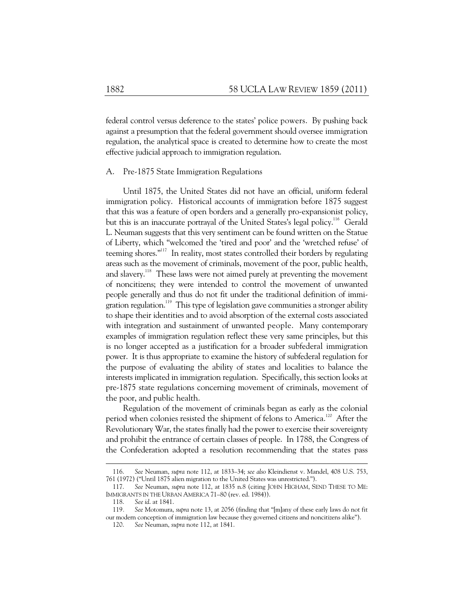federal control versus deference to the states' police powers. By pushing back against a presumption that the federal government should oversee immigration regulation, the analytical space is created to determine how to create the most effective judicial approach to immigration regulation.

### A. Pre-1875 State Immigration Regulations

Until 1875, the United States did not have an official, uniform federal immigration policy. Historical accounts of immigration before 1875 suggest that this was a feature of open borders and a generally pro-expansionist policy, but this is an inaccurate portrayal of the United States's legal policy.<sup>116</sup> Gerald L. Neuman suggests that this very sentiment can be found written on the Statue of Liberty, which "welcomed the 'tired and poor' and the 'wretched refuse' of teeming shores."117 In reality, most states controlled their borders by regulating areas such as the movement of criminals, movement of the poor, public health, and slavery.<sup>118</sup> These laws were not aimed purely at preventing the movement of noncitizens; they were intended to control the movement of unwanted people generally and thus do not fit under the traditional definition of immigration regulation.<sup>119</sup> This type of legislation gave communities a stronger ability to shape their identities and to avoid absorption of the external costs associated with integration and sustainment of unwanted people. Many contemporary examples of immigration regulation reflect these very same principles, but this is no longer accepted as a justification for a broader subfederal immigration power. It is thus appropriate to examine the history of subfederal regulation for the purpose of evaluating the ability of states and localities to balance the interests implicated in immigration regulation. Specifically, this section looks at pre-1875 state regulations concerning movement of criminals, movement of the poor, and public health.

Regulation of the movement of criminals began as early as the colonial period when colonies resisted the shipment of felons to America.<sup>120</sup> After the Revolutionary War, the states finally had the power to exercise their sovereignty and prohibit the entrance of certain classes of people. In 1788, the Congress of the Confederation adopted a resolution recommending that the states pass

 <sup>116.</sup> *See* Neuman, *supra* note 112, at 1833–34; *see also* Kleindienst v. Mandel, 408 U.S. 753, 761 (1972) ("Until 1875 alien migration to the United States was unrestricted.").

 <sup>117.</sup> *See* Neuman, *supra* note 112, at 1835 n.8 (citing JOHN HIGHAM, SEND THESE TO ME: IMMIGRANTS IN THE URBAN AMERICA 71–80 (rev. ed. 1984)).

 <sup>118.</sup> *See id*. at 1841.

<sup>119</sup>*. See* Motomura, *supra* note 13, at 2056 (finding that "[m]any of these early laws do not fit our modern conception of immigration law because they governed citizens and noncitizens alike").

 <sup>120.</sup> *See* Neuman, *supra* note 112, at 1841.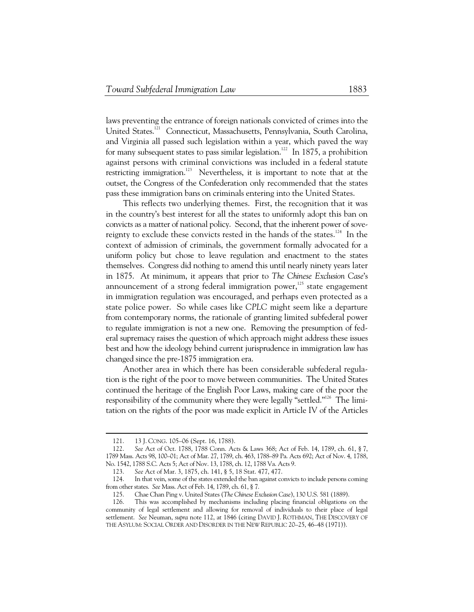laws preventing the entrance of foreign nationals convicted of crimes into the United States.121 Connecticut, Massachusetts, Pennsylvania, South Carolina, and Virginia all passed such legislation within a year, which paved the way for many subsequent states to pass similar legislation.<sup>122</sup> In 1875, a prohibition against persons with criminal convictions was included in a federal statute restricting immigration.<sup>123</sup> Nevertheless, it is important to note that at the outset, the Congress of the Confederation only recommended that the states pass these immigration bans on criminals entering into the United States.

This reflects two underlying themes. First, the recognition that it was in the country's best interest for all the states to uniformly adopt this ban on convicts as a matter of national policy. Second, that the inherent power of sovereignty to exclude these convicts rested in the hands of the states.<sup>124</sup> In the context of admission of criminals, the government formally advocated for a uniform policy but chose to leave regulation and enactment to the states themselves. Congress did nothing to amend this until nearly ninety years later in 1875. At minimum, it appears that prior to *The Chinese Exclusion Case*'s announcement of a strong federal immigration power, $125$  state engagement in immigration regulation was encouraged, and perhaps even protected as a state police power. So while cases like *CPLC* might seem like a departure from contemporary norms, the rationale of granting limited subfederal power to regulate immigration is not a new one. Removing the presumption of federal supremacy raises the question of which approach might address these issues best and how the ideology behind current jurisprudence in immigration law has changed since the pre-1875 immigration era.

Another area in which there has been considerable subfederal regulation is the right of the poor to move between communities. The United States continued the heritage of the English Poor Laws, making care of the poor the responsibility of the community where they were legally "settled."<sup>126</sup> The limitation on the rights of the poor was made explicit in Article IV of the Articles

 <sup>121. 13</sup> J. CONG. 105–06 (Sept. 16, 1788).

 <sup>122.</sup> *See* Act of Oct. 1788, 1788 Conn. Acts & Laws 368; Act of Feb. 14, 1789, ch. 61, § 7, 1789 Mass. Acts 98, 100–01; Act of Mar. 27, 1789, ch. 463, 1788–89 Pa. Acts 692; Act of Nov. 4, 1788, No. 1542, 1788 S.C. Acts 5; Act of Nov. 13, 1788, ch. 12, 1788 Va. Acts 9.

 <sup>123.</sup> *See* Act of Mar. 3, 1875, ch. 141, § 5, 18 Stat. 477, 477.

 <sup>124.</sup> In that vein, some of the states extended the ban against convicts to include persons coming from other states. *See* Mass. Act of Feb. 14, 1789, ch. 61, § 7.

 <sup>125.</sup> Chae Chan Ping v. United States (*The Chinese Exclusion Case*), 130 U.S. 581 (1889).

 <sup>126.</sup> This was accomplished by mechanisms including placing financial obligations on the community of legal settlement and allowing for removal of individuals to their place of legal settlement. *See* Neuman, *supra* note 112, at 1846 (citing DAVID J. ROTHMAN, THE DISCOVERY OF THE ASYLUM: SOCIAL ORDER AND DISORDER IN THE NEW REPUBLIC 20–25, 46–48 (1971)).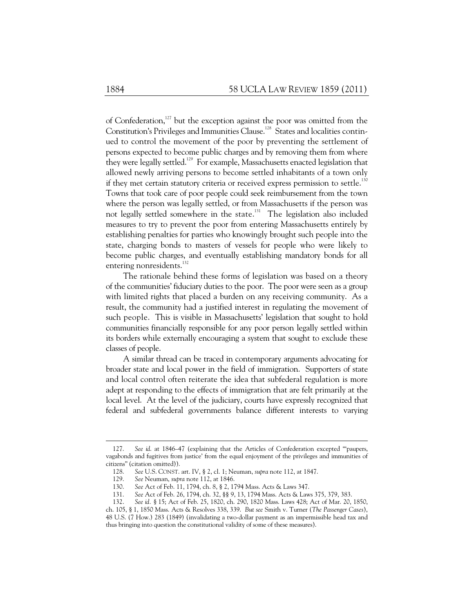of Confederation,<sup>127</sup> but the exception against the poor was omitted from the Constitution's Privileges and Immunities Clause.<sup>128</sup> States and localities continued to control the movement of the poor by preventing the settlement of persons expected to become public charges and by removing them from where they were legally settled.<sup>129</sup> For example, Massachusetts enacted legislation that allowed newly arriving persons to become settled inhabitants of a town only if they met certain statutory criteria or received express permission to settle.<sup>130</sup> Towns that took care of poor people could seek reimbursement from the town where the person was legally settled, or from Massachusetts if the person was not legally settled somewhere in the state.<sup>131</sup> The legislation also included measures to try to prevent the poor from entering Massachusetts entirely by establishing penalties for parties who knowingly brought such people into the state, charging bonds to masters of vessels for people who were likely to become public charges, and eventually establishing mandatory bonds for all entering nonresidents.<sup>132</sup>

The rationale behind these forms of legislation was based on a theory of the communities' fiduciary duties to the poor. The poor were seen as a group with limited rights that placed a burden on any receiving community. As a result, the community had a justified interest in regulating the movement of such people. This is visible in Massachusetts' legislation that sought to hold communities financially responsible for any poor person legally settled within its borders while externally encouraging a system that sought to exclude these classes of people.

A similar thread can be traced in contemporary arguments advocating for broader state and local power in the field of immigration. Supporters of state and local control often reiterate the idea that subfederal regulation is more adept at responding to the effects of immigration that are felt primarily at the local level. At the level of the judiciary, courts have expressly recognized that federal and subfederal governments balance different interests to varying

-

 <sup>127.</sup> *See id*. at 1846–47 (explaining that the Articles of Confederation excepted "'paupers, vagabonds and fugitives from justice' from the equal enjoyment of the privileges and immunities of citizens" (citation omitted)).

 <sup>128.</sup> *See* U.S. CONST. art. IV, § 2, cl. 1; Neuman, *supra* note 112, at 1847.

 <sup>129.</sup> *See* Neuman, *supra* note 112, at 1846.

 <sup>130.</sup> *See* Act of Feb. 11, 1794, ch. 8, § 2, 1794 Mass. Acts & Laws 347.

 <sup>131.</sup> *See* Act of Feb. 26, 1794, ch. 32, §§ 9, 13, 1794 Mass. Acts & Laws 375, 379, 383.

 <sup>132.</sup> *See id.* § 15; Act of Feb. 25, 1820, ch. 290, 1820 Mass. Laws 428; Act of Mar. 20, 1850,

ch. 105, § 1, 1850 Mass. Acts & Resolves 338, 339. *But see* Smith v. Turner (*The Passenger Cases*), 48 U.S. (7 How.) 283 (1849) (invalidating a two-dollar payment as an impermissible head tax and thus bringing into question the constitutional validity of some of these measures).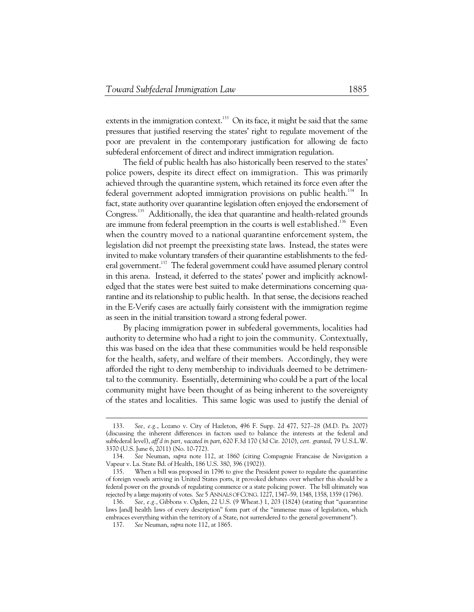extents in the immigration context.<sup>133</sup> On its face, it might be said that the same pressures that justified reserving the states' right to regulate movement of the poor are prevalent in the contemporary justification for allowing de facto subfederal enforcement of direct and indirect immigration regulation.

The field of public health has also historically been reserved to the states' police powers, despite its direct effect on immigration. This was primarily achieved through the quarantine system, which retained its force even after the federal government adopted immigration provisions on public health.<sup>134</sup> In fact, state authority over quarantine legislation often enjoyed the endorsement of Congress.<sup>135</sup> Additionally, the idea that quarantine and health-related grounds are immune from federal preemption in the courts is well established.<sup>136</sup> Even when the country moved to a national quarantine enforcement system, the legislation did not preempt the preexisting state laws. Instead, the states were invited to make voluntary transfers of their quarantine establishments to the federal government.<sup>137</sup> The federal government could have assumed plenary control in this arena. Instead, it deferred to the states' power and implicitly acknowledged that the states were best suited to make determinations concerning quarantine and its relationship to public health. In that sense, the decisions reached in the E-Verify cases are actually fairly consistent with the immigration regime as seen in the initial transition toward a strong federal power.

By placing immigration power in subfederal governments, localities had authority to determine who had a right to join the community. Contextually, this was based on the idea that these communities would be held responsible for the health, safety, and welfare of their members. Accordingly, they were afforded the right to deny membership to individuals deemed to be detrimental to the community. Essentially, determining who could be a part of the local community might have been thought of as being inherent to the sovereignty of the states and localities. This same logic was used to justify the denial of

 <sup>133.</sup> *See, e.g.*, Lozano v. City of Hazleton, 496 F. Supp. 2d 477, 527–28 (M.D. Pa. 2007) (discussing the inherent differences in factors used to balance the interests at the federal and subfederal level), *aff'd in part, vacated in part*, 620 F.3d 170 (3d Cir. 2010), *cert. granted*, 79 U.S.L.W. 3370 (U.S. June 6, 2011) (No. 10-772).

 <sup>134.</sup> *See* Neuman, *supra* note 112, at 1860 (citing Compagnie Francaise de Navigation a Vapeur v. La. State Bd. of Health, 186 U.S. 380, 396 (1902)).

 <sup>135.</sup> When a bill was proposed in 1796 to give the President power to regulate the quarantine of foreign vessels arriving in United States ports, it provoked debates over whether this should be a federal power on the grounds of regulating commerce or a state policing power. The bill ultimately was rejected by a large majority of votes. *See* 5 ANNALS OF CONG. 1227, 1347–59, 1348, 1358, 1359 (1796).

 <sup>136.</sup> *See, e.g.*, Gibbons v. Ogden, 22 U.S. (9 Wheat.) 1, 203 (1824) (stating that "quarantine laws [and] health laws of every description" form part of the "immense mass of legislation, which embraces everything within the territory of a State, not surrendered to the general government").

 <sup>137.</sup> *See* Neuman, *supra* note 112, at 1865.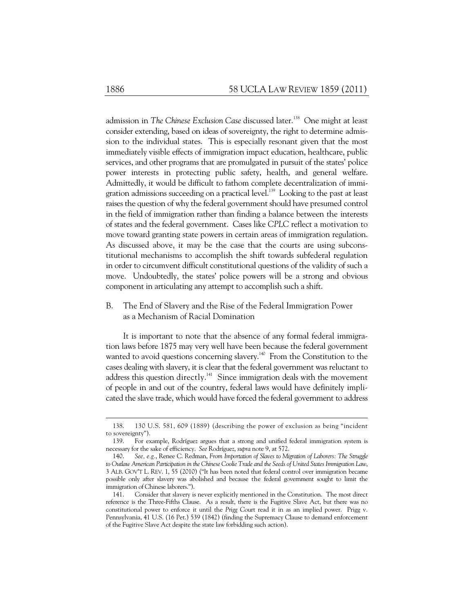admission in *The Chinese Exclusion Case* discussed later.<sup>138</sup> One might at least consider extending, based on ideas of sovereignty, the right to determine admission to the individual states. This is especially resonant given that the most immediately visible effects of immigration impact education, healthcare, public services, and other programs that are promulgated in pursuit of the states' police power interests in protecting public safety, health, and general welfare. Admittedly, it would be difficult to fathom complete decentralization of immigration admissions succeeding on a practical level.<sup>139</sup> Looking to the past at least raises the question of why the federal government should have presumed control in the field of immigration rather than finding a balance between the interests of states and the federal government. Cases like *CPLC* reflect a motivation to move toward granting state powers in certain areas of immigration regulation. As discussed above, it may be the case that the courts are using subconstitutional mechanisms to accomplish the shift towards subfederal regulation in order to circumvent difficult constitutional questions of the validity of such a move. Undoubtedly, the states' police powers will be a strong and obvious component in articulating any attempt to accomplish such a shift.

# B. The End of Slavery and the Rise of the Federal Immigration Power as a Mechanism of Racial Domination

It is important to note that the absence of any formal federal immigration laws before 1875 may very well have been because the federal government wanted to avoid questions concerning slavery.<sup>140</sup> From the Constitution to the cases dealing with slavery, it is clear that the federal government was reluctant to address this question directly.<sup>141</sup> Since immigration deals with the movement of people in and out of the country, federal laws would have definitely implicated the slave trade, which would have forced the federal government to address

 <sup>138. 130</sup> U.S. 581, 609 (1889) (describing the power of exclusion as being "incident to sovereignty").

 <sup>139.</sup> For example, Rodríguez argues that a strong and unified federal immigration system is necessary for the sake of efficiency. *See* Rodríguez, *supra* note 9, at 572.

 <sup>140.</sup> *See, e.g.*, Renee C. Redman, *From Importation of Slaves to Migration of Laborers: The Struggle to Outlaw American Participation in the Chinese Coolie Trade and the Seeds of United States Immigration Law*, 3 ALB. GOV'T L. REV. 1, 55 (2010) ("It has been noted that federal control over immigration became possible only after slavery was abolished and because the federal government sought to limit the immigration of Chinese laborers.").

 <sup>141.</sup> Consider that slavery is never explicitly mentioned in the Constitution. The most direct reference is the Three-Fifths Clause. As a result, there is the Fugitive Slave Act, but there was no constitutional power to enforce it until the *Prigg* Court read it in as an implied power. Prigg v. Pennsylvania, 41 U.S. (16 Pet.) 539 (1842) (finding the Supremacy Clause to demand enforcement of the Fugitive Slave Act despite the state law forbidding such action).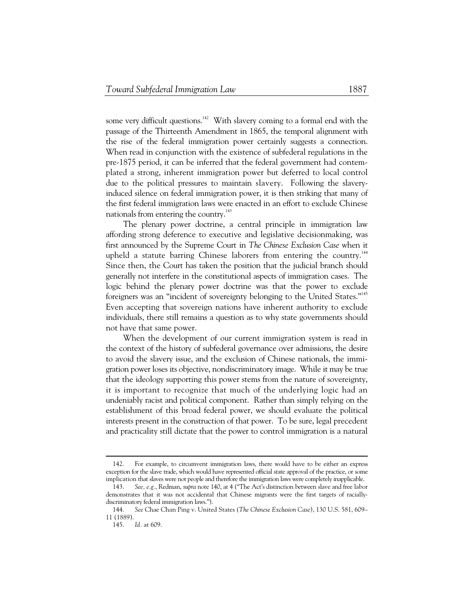some very difficult questions.<sup>142</sup> With slavery coming to a formal end with the passage of the Thirteenth Amendment in 1865, the temporal alignment with the rise of the federal immigration power certainly suggests a connection. When read in conjunction with the existence of subfederal regulations in the pre-1875 period, it can be inferred that the federal government had contemplated a strong, inherent immigration power but deferred to local control due to the political pressures to maintain slavery. Following the slaveryinduced silence on federal immigration power, it is then striking that many of the first federal immigration laws were enacted in an effort to exclude Chinese nationals from entering the country.<sup>143</sup>

The plenary power doctrine, a central principle in immigration law affording strong deference to executive and legislative decisionmaking, was first announced by the Supreme Court in *The Chinese Exclusion Case* when it upheld a statute barring Chinese laborers from entering the country.<sup>144</sup> Since then, the Court has taken the position that the judicial branch should generally not interfere in the constitutional aspects of immigration cases. The logic behind the plenary power doctrine was that the power to exclude foreigners was an "incident of sovereignty belonging to the United States."<sup>145</sup> Even accepting that sovereign nations have inherent authority to exclude individuals, there still remains a question as to why state governments should not have that same power.

When the development of our current immigration system is read in the context of the history of subfederal governance over admissions, the desire to avoid the slavery issue, and the exclusion of Chinese nationals, the immigration power loses its objective, nondiscriminatory image. While it may be true that the ideology supporting this power stems from the nature of sovereignty, it is important to recognize that much of the underlying logic had an undeniably racist and political component. Rather than simply relying on the establishment of this broad federal power, we should evaluate the political interests present in the construction of that power. To be sure, legal precedent and practicality still dictate that the power to control immigration is a natural

 <sup>142.</sup> For example, to circumvent immigration laws, there would have to be either an express exception for the slave trade, which would have represented official state approval of the practice, or some implication that slaves were not people and therefore the immigration laws were completely inapplicable.

 <sup>143.</sup> *See, e.g.*, Redman, *supra* note 140, at 4 ("The Act's distinction between slave and free labor demonstrates that it was not accidental that Chinese migrants were the first targets of raciallydiscriminatory federal immigration laws.").

 <sup>144.</sup> *See* Chae Chan Ping v. United States (*The Chinese Exclusion Case*), 130 U.S. 581, 609– 11 (1889).

 <sup>145.</sup> *Id.* at 609.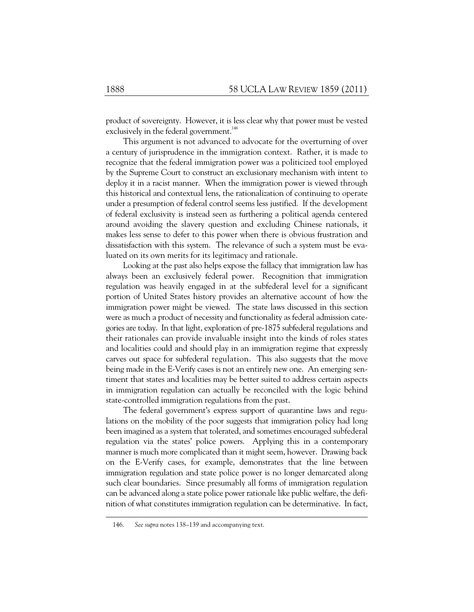product of sovereignty. However, it is less clear why that power must be vested exclusively in the federal government.<sup>146</sup>

This argument is not advanced to advocate for the overturning of over a century of jurisprudence in the immigration context. Rather, it is made to recognize that the federal immigration power was a politicized tool employed by the Supreme Court to construct an exclusionary mechanism with intent to deploy it in a racist manner. When the immigration power is viewed through this historical and contextual lens, the rationalization of continuing to operate under a presumption of federal control seems less justified. If the development of federal exclusivity is instead seen as furthering a political agenda centered around avoiding the slavery question and excluding Chinese nationals, it makes less sense to defer to this power when there is obvious frustration and dissatisfaction with this system. The relevance of such a system must be evaluated on its own merits for its legitimacy and rationale.

Looking at the past also helps expose the fallacy that immigration law has always been an exclusively federal power. Recognition that immigration regulation was heavily engaged in at the subfederal level for a significant portion of United States history provides an alternative account of how the immigration power might be viewed. The state laws discussed in this section were as much a product of necessity and functionality as federal admission categories are today. In that light, exploration of pre-1875 subfederal regulations and their rationales can provide invaluable insight into the kinds of roles states and localities could and should play in an immigration regime that expressly carves out space for subfederal regulation. This also suggests that the move being made in the E-Verify cases is not an entirely new one. An emerging sentiment that states and localities may be better suited to address certain aspects in immigration regulation can actually be reconciled with the logic behind state-controlled immigration regulations from the past.

The federal government's express support of quarantine laws and regulations on the mobility of the poor suggests that immigration policy had long been imagined as a system that tolerated, and sometimes encouraged subfederal regulation via the states' police powers. Applying this in a contemporary manner is much more complicated than it might seem, however. Drawing back on the E-Verify cases, for example, demonstrates that the line between immigration regulation and state police power is no longer demarcated along such clear boundaries. Since presumably all forms of immigration regulation can be advanced along a state police power rationale like public welfare, the definition of what constitutes immigration regulation can be determinative. In fact,

 <sup>146.</sup> *See supra* notes 138–139 and accompanying text.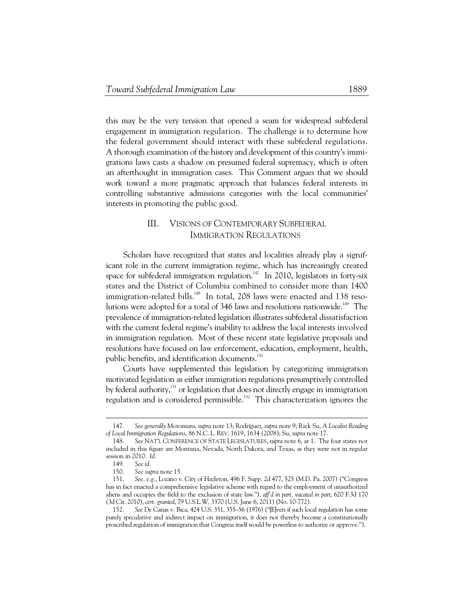this may be the very tension that opened a seam for widespread subfederal engagement in immigration regulation. The challenge is to determine how the federal government should interact with these subfederal regulations. A thorough examination of the history and development of this country's immigrations laws casts a shadow on presumed federal supremacy, which is often an afterthought in immigration cases. This Comment argues that we should work toward a more pragmatic approach that balances federal interests in controlling substantive admissions categories with the local communities' interests in promoting the public good.

# III. VISIONS OF CONTEMPORARY SUBFEDERAL IMMIGRATION REGULATIONS

Scholars have recognized that states and localities already play a significant role in the current immigration regime, which has increasingly created space for subfederal immigration regulation.<sup>147</sup> In 2010, legislators in forty-six states and the District of Columbia combined to consider more than 1400 immigration-related bills.<sup>148</sup> In total, 208 laws were enacted and 138 resolutions were adopted for a total of 346 laws and resolutions nationwide.<sup>149</sup> The prevalence of immigration-related legislation illustrates subfederal dissatisfaction with the current federal regime's inability to address the local interests involved in immigration regulation. Most of these recent state legislative proposals and resolutions have focused on law enforcement, education, employment, health, public benefits, and identification documents.<sup>150</sup>

Courts have supplemented this legislation by categorizing immigration motivated legislation as either immigration regulations presumptively controlled by federal authority, $151$  or legislation that does not directly engage in immigration regulation and is considered permissible.<sup>152</sup> This characterization ignores the

 <sup>147.</sup> *See generally* Motomura, *supra* note 13; Rodríguez, *supra* note 9; Rick Su, *A Localist Reading of Local Immigration Regulations*, 86 N.C. L. REV. 1619, 1634 (2008); Su, *supra* note 17.

 <sup>148.</sup> *See* NAT'L CONFERENCE OF STATE LEGISLATURES, *supra* note 6, at 1. The four states not included in this figure are Montana, Nevada, North Dakota, and Texas, as they were not in regular session in 2010. *Id.*

 <sup>149.</sup> *See id.*

 <sup>150.</sup> *See supra* note 15.

 <sup>151.</sup> *See, e.g.*, Lozano v. City of Hazleton, 496 F. Supp. 2d 477, 525 (M.D. Pa. 2007) ("Congress has in fact enacted a comprehensive legislative scheme with regard to the employment of unauthorized aliens and occupies the field to the exclusion of state law."), *aff'd in part, vacated in part*, 620 F.3d 170 (3d Cir. 2010), *cert. granted*, 79 U.S.L.W. 3370 (U.S. June 6, 2011) (No. 10-772).

 <sup>152.</sup> *See* De Canas v. Bica, 424 U.S. 351, 355–56 (1976) ("[E]ven if such local regulation has some purely speculative and indirect impact on immigration, it does not thereby become a constitutionally proscribed regulation of immigration that Congress itself would be powerless to authorize or approve.").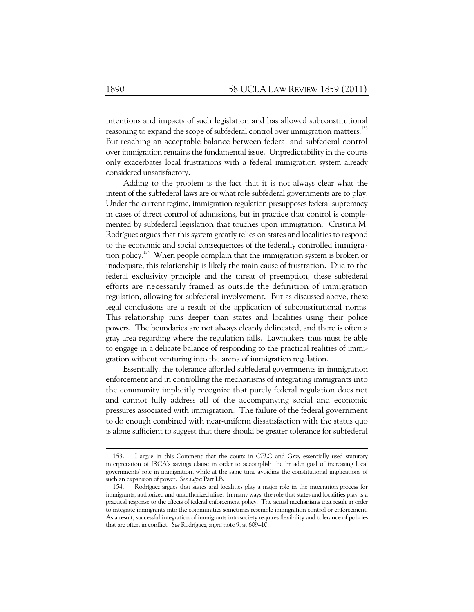intentions and impacts of such legislation and has allowed subconstitutional reasoning to expand the scope of subfederal control over immigration matters.<sup>153</sup> But reaching an acceptable balance between federal and subfederal control over immigration remains the fundamental issue. Unpredictability in the courts only exacerbates local frustrations with a federal immigration system already considered unsatisfactory.

Adding to the problem is the fact that it is not always clear what the intent of the subfederal laws are or what role subfederal governments are to play. Under the current regime, immigration regulation presupposes federal supremacy in cases of direct control of admissions, but in practice that control is complemented by subfederal legislation that touches upon immigration. Cristina M. Rodríguez argues that this system greatly relies on states and localities to respond to the economic and social consequences of the federally controlled immigration policy.<sup>154</sup> When people complain that the immigration system is broken or inadequate, this relationship is likely the main cause of frustration. Due to the federal exclusivity principle and the threat of preemption, these subfederal efforts are necessarily framed as outside the definition of immigration regulation, allowing for subfederal involvement. But as discussed above, these legal conclusions are a result of the application of subconstitutional norms. This relationship runs deeper than states and localities using their police powers. The boundaries are not always cleanly delineated, and there is often a gray area regarding where the regulation falls. Lawmakers thus must be able to engage in a delicate balance of responding to the practical realities of immigration without venturing into the arena of immigration regulation.

Essentially, the tolerance afforded subfederal governments in immigration enforcement and in controlling the mechanisms of integrating immigrants into the community implicitly recognize that purely federal regulation does not and cannot fully address all of the accompanying social and economic pressures associated with immigration. The failure of the federal government to do enough combined with near-uniform dissatisfaction with the status quo is alone sufficient to suggest that there should be greater tolerance for subfederal

 <sup>153.</sup> I argue in this Comment that the courts in *CPLC* and *Gray* essentially used statutory interpretation of IRCA's savings clause in order to accomplish the broader goal of increasing local governments' role in immigration, while at the same time avoiding the constitutional implications of such an expansion of power. *See supra* Part I.B.

 <sup>154.</sup> Rodríguez argues that states and localities play a major role in the integration process for immigrants, authorized and unauthorized alike. In many ways, the role that states and localities play is a practical response to the effects of federal enforcement policy. The actual mechanisms that result in order to integrate immigrants into the communities sometimes resemble immigration control or enforcement. As a result, successful integration of immigrants into society requires flexibility and tolerance of policies that are often in conflict. *See* Rodríguez, *supra* note 9, at 609–10.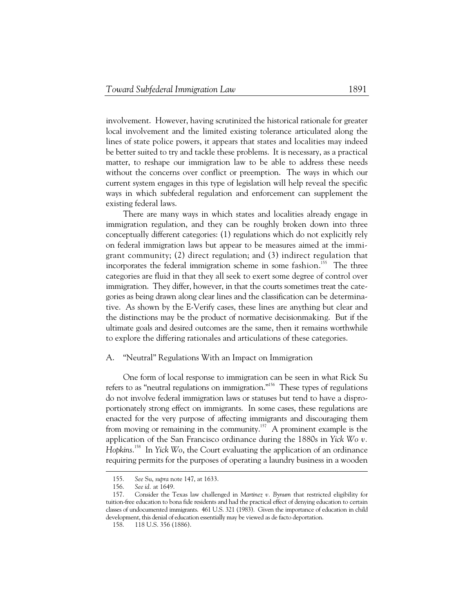involvement. However, having scrutinized the historical rationale for greater local involvement and the limited existing tolerance articulated along the lines of state police powers, it appears that states and localities may indeed be better suited to try and tackle these problems. It is necessary, as a practical matter, to reshape our immigration law to be able to address these needs without the concerns over conflict or preemption. The ways in which our current system engages in this type of legislation will help reveal the specific ways in which subfederal regulation and enforcement can supplement the existing federal laws.

There are many ways in which states and localities already engage in immigration regulation, and they can be roughly broken down into three conceptually different categories: (1) regulations which do not explicitly rely on federal immigration laws but appear to be measures aimed at the immigrant community; (2) direct regulation; and (3) indirect regulation that incorporates the federal immigration scheme in some fashion.<sup>155</sup> The three categories are fluid in that they all seek to exert some degree of control over immigration. They differ, however, in that the courts sometimes treat the categories as being drawn along clear lines and the classification can be determinative. As shown by the E-Verify cases, these lines are anything but clear and the distinctions may be the product of normative decisionmaking. But if the ultimate goals and desired outcomes are the same, then it remains worthwhile to explore the differing rationales and articulations of these categories.

### A. "Neutral" Regulations With an Impact on Immigration

One form of local response to immigration can be seen in what Rick Su refers to as "neutral regulations on immigration."156 These types of regulations do not involve federal immigration laws or statuses but tend to have a disproportionately strong effect on immigrants. In some cases, these regulations are enacted for the very purpose of affecting immigrants and discouraging them from moving or remaining in the community.<sup>157</sup> A prominent example is the application of the San Francisco ordinance during the 1880s in *Yick Wo v. Hopkins*. 158 In *Yick Wo*, the Court evaluating the application of an ordinance requiring permits for the purposes of operating a laundry business in a wooden

-

 <sup>155.</sup> *See* Su, *supra* note 147, at 1633.

 <sup>156.</sup> *See id.* at 1649.

 <sup>157.</sup> Consider the Texas law challenged in *Martinez v. Bynum* that restricted eligibility for tuition-free education to bona fide residents and had the practical effect of denying education to certain classes of undocumented immigrants. 461 U.S. 321 (1983). Given the importance of education in child development, this denial of education essentially may be viewed as de facto deportation.

 <sup>158. 118</sup> U.S. 356 (1886).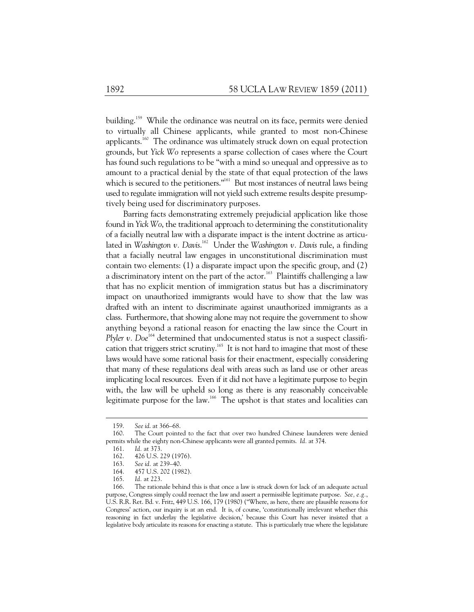building.<sup>159</sup> While the ordinance was neutral on its face, permits were denied to virtually all Chinese applicants, while granted to most non-Chinese applicants.<sup>160</sup> The ordinance was ultimately struck down on equal protection grounds, but *Yick Wo* represents a sparse collection of cases where the Court has found such regulations to be "with a mind so unequal and oppressive as to amount to a practical denial by the state of that equal protection of the laws which is secured to the petitioners."<sup>161</sup> But most instances of neutral laws being used to regulate immigration will not yield such extreme results despite presumptively being used for discriminatory purposes.

Barring facts demonstrating extremely prejudicial application like those found in *Yick Wo*, the traditional approach to determining the constitutionality of a facially neutral law with a disparate impact is the intent doctrine as articulated in *Washington v. Davis.*<sup>162</sup> Under the *Washington v. Davis* rule, a finding that a facially neutral law engages in unconstitutional discrimination must contain two elements: (1) a disparate impact upon the specific group, and (2) a discriminatory intent on the part of the actor.<sup>163</sup> Plaintiffs challenging a law that has no explicit mention of immigration status but has a discriminatory impact on unauthorized immigrants would have to show that the law was drafted with an intent to discriminate against unauthorized immigrants as a class. Furthermore, that showing alone may not require the government to show anything beyond a rational reason for enacting the law since the Court in *Plyler v. Doe*<sup>164</sup> determined that undocumented status is not a suspect classification that triggers strict scrutiny.<sup>165</sup> It is not hard to imagine that most of these laws would have some rational basis for their enactment, especially considering that many of these regulations deal with areas such as land use or other areas implicating local resources. Even if it did not have a legitimate purpose to begin with, the law will be upheld so long as there is any reasonably conceivable legitimate purpose for the law.166 The upshot is that states and localities can

 <sup>159.</sup> *See id*. at 366–68.

 <sup>160.</sup> The Court pointed to the fact that over two hundred Chinese launderers were denied permits while the eighty non-Chinese applicants were all granted permits. *Id.* at 374.

 <sup>161.</sup> *Id.* at 373.

 <sup>162. 426</sup> U.S. 229 (1976).

 <sup>163.</sup> *See id.* at 239–40.

 <sup>164. 457</sup> U.S. 202 (1982).

 <sup>165.</sup> *Id.* at 223.

 <sup>166.</sup> The rationale behind this is that once a law is struck down for lack of an adequate actual purpose, Congress simply could reenact the law and assert a permissible legitimate purpose. *See, e.g.*, U.S. R.R. Ret. Bd. v. Fritz, 449 U.S. 166, 179 (1980) ("Where, as here, there are plausible reasons for Congress' action, our inquiry is at an end. It is, of course, 'constitutionally irrelevant whether this reasoning in fact underlay the legislative decision,' because this Court has never insisted that a legislative body articulate its reasons for enacting a statute. This is particularly true where the legislature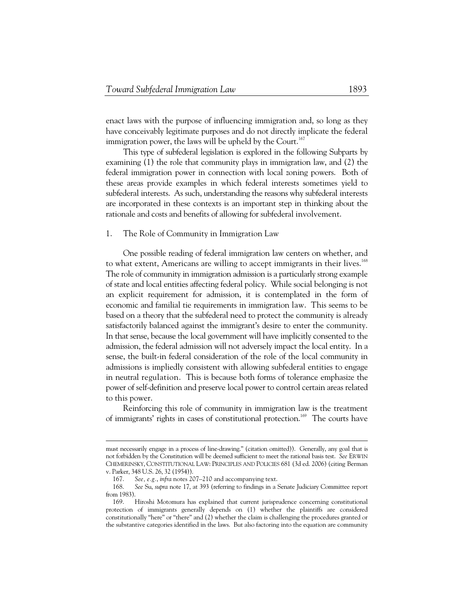enact laws with the purpose of influencing immigration and, so long as they have conceivably legitimate purposes and do not directly implicate the federal immigration power, the laws will be upheld by the Court.<sup>167</sup>

This type of subfederal legislation is explored in the following Subparts by examining (1) the role that community plays in immigration law, and (2) the federal immigration power in connection with local zoning powers. Both of these areas provide examples in which federal interests sometimes yield to subfederal interests. As such, understanding the reasons why subfederal interests are incorporated in these contexts is an important step in thinking about the rationale and costs and benefits of allowing for subfederal involvement.

## 1. The Role of Community in Immigration Law

One possible reading of federal immigration law centers on whether, and to what extent, Americans are willing to accept immigrants in their lives.<sup>168</sup> The role of community in immigration admission is a particularly strong example of state and local entities affecting federal policy. While social belonging is not an explicit requirement for admission, it is contemplated in the form of economic and familial tie requirements in immigration law. This seems to be based on a theory that the subfederal need to protect the community is already satisfactorily balanced against the immigrant's desire to enter the community. In that sense, because the local government will have implicitly consented to the admission, the federal admission will not adversely impact the local entity. In a sense, the built-in federal consideration of the role of the local community in admissions is impliedly consistent with allowing subfederal entities to engage in neutral regulation. This is because both forms of tolerance emphasize the power of self-definition and preserve local power to control certain areas related to this power.

Reinforcing this role of community in immigration law is the treatment of immigrants' rights in cases of constitutional protection.<sup>169</sup> The courts have

-

must necessarily engage in a process of line-drawing." (citation omitted)). Generally, any goal that is not forbidden by the Constitution will be deemed sufficient to meet the rational basis test. *See* ERWIN CHEMERINSKY, CONSTITUTIONAL LAW: PRINCIPLES AND POLICIES 681 (3d ed. 2006) (citing Berman v. Parker, 348 U.S. 26, 32 (1954)).

 <sup>167.</sup> *See, e.g.*, *infra* notes 207–210 and accompanying text.

 <sup>168.</sup> *See* Su, *supra* note 17, at 393 (referring to findings in a Senate Judiciary Committee report from 1983).

 <sup>169.</sup> Hiroshi Motomura has explained that current jurisprudence concerning constitutional protection of immigrants generally depends on (1) whether the plaintiffs are considered constitutionally "here" or "there" and (2) whether the claim is challenging the procedures granted or the substantive categories identified in the laws. But also factoring into the equation are community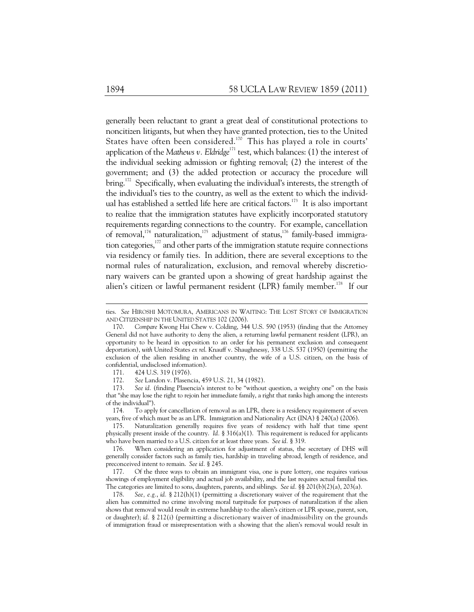generally been reluctant to grant a great deal of constitutional protections to noncitizen litigants, but when they have granted protection, ties to the United States have often been considered.<sup>170</sup> This has played a role in courts' application of the *Mathews v. Eldridge*<sup>171</sup> test, which balances: (1) the interest of the individual seeking admission or fighting removal; (2) the interest of the government; and (3) the added protection or accuracy the procedure will bring.<sup>172</sup> Specifically, when evaluating the individual's interests, the strength of the individual's ties to the country, as well as the extent to which the individual has established a settled life here are critical factors.<sup>173</sup> It is also important to realize that the immigration statutes have explicitly incorporated statutory requirements regarding connections to the country. For example, cancellation of removal, $174$  naturalization, $175$  adjustment of status, $176$  family-based immigration categories, $177$  and other parts of the immigration statute require connections via residency or family ties. In addition, there are several exceptions to the normal rules of naturalization, exclusion, and removal whereby discretionary waivers can be granted upon a showing of great hardship against the alien's citizen or lawful permanent resident (LPR) family member.<sup>178</sup> If our

171. 424 U.S. 319 (1976).

172. *See* Landon v. Plasencia, 459 U.S. 21, 34 (1982).

 173. *See id.* (finding Plasencia's interest to be "without question, a weighty one" on the basis that "she may lose the right to rejoin her immediate family, a right that ranks high among the interests of the individual").

 174. To apply for cancellation of removal as an LPR, there is a residency requirement of seven years, five of which must be as an LPR. Immigration and Nationality Act (INA) § 240(a) (2006).

 175. Naturalization generally requires five years of residency with half that time spent physically present inside of the country. *Id.* § 316(a)(1). This requirement is reduced for applicants who have been married to a U.S. citizen for at least three years. *See id.* § 319.

 176. When considering an application for adjustment of status, the secretary of DHS will generally consider factors such as family ties, hardship in traveling abroad, length of residence, and preconceived intent to remain. *See id.* § 245.

 177. Of the three ways to obtain an immigrant visa, one is pure lottery, one requires various showings of employment eligibility and actual job availability, and the last requires actual familial ties. The categories are limited to sons, daughters, parents, and siblings. *See id.* §§ 201(b)(2)(a), 203(a).

 178. *See, e.g.*, *id.* § 212(h)(1) (permitting a discretionary waiver of the requirement that the alien has committed no crime involving moral turpitude for purposes of naturalization if the alien shows that removal would result in extreme hardship to the alien's citizen or LPR spouse, parent, son, or daughter); *id.* § 212(i) (permitting a discretionary waiver of inadmissibility on the grounds of immigration fraud or misrepresentation with a showing that the alien's removal would result in

-

ties. *See* HIROSHI MOTOMURA, AMERICANS IN WAITING: THE LOST STORY OF IMMIGRATION AND CITIZENSHIP IN THE UNITED STATES 102 (2006).

 <sup>170.</sup> *Compare* Kwong Hai Chew v. Colding, 344 U.S. 590 (1953) (finding that the Attorney General did not have authority to deny the alien, a returning lawful permanent resident (LPR), an opportunity to be heard in opposition to an order for his permanent exclusion and consequent deportation), *with* United States *ex rel*. Knauff v. Shaughnessy, 338 U.S. 537 (1950) (permitting the exclusion of the alien residing in another country, the wife of a U.S. citizen, on the basis of confidential, undisclosed information).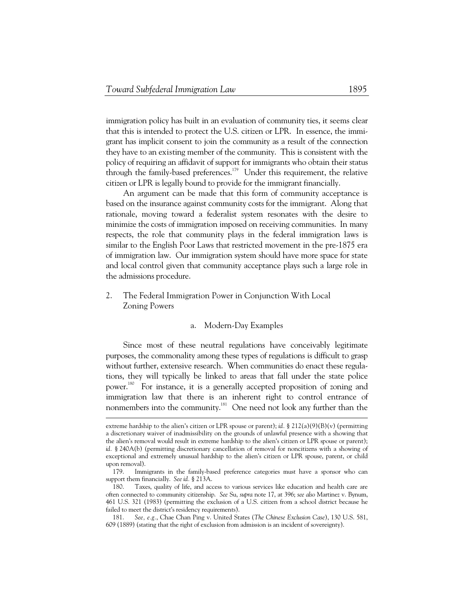immigration policy has built in an evaluation of community ties, it seems clear that this is intended to protect the U.S. citizen or LPR. In essence, the immigrant has implicit consent to join the community as a result of the connection they have to an existing member of the community. This is consistent with the policy of requiring an affidavit of support for immigrants who obtain their status through the family-based preferences.179 Under this requirement, the relative citizen or LPR is legally bound to provide for the immigrant financially.

An argument can be made that this form of community acceptance is based on the insurance against community costs for the immigrant. Along that rationale, moving toward a federalist system resonates with the desire to minimize the costs of immigration imposed on receiving communities. In many respects, the role that community plays in the federal immigration laws is similar to the English Poor Laws that restricted movement in the pre-1875 era of immigration law. Our immigration system should have more space for state and local control given that community acceptance plays such a large role in the admissions procedure.

2. The Federal Immigration Power in Conjunction With Local Zoning Powers

#### a. Modern-Day Examples

Since most of these neutral regulations have conceivably legitimate purposes, the commonality among these types of regulations is difficult to grasp without further, extensive research. When communities do enact these regulations, they will typically be linked to areas that fall under the state police power.<sup>180</sup> For instance, it is a generally accepted proposition of zoning and immigration law that there is an inherent right to control entrance of nonmembers into the community.181 One need not look any further than the 1

extreme hardship to the alien's citizen or LPR spouse or parent); *id.* § 212(a)(9)(B)(v) (permitting a discretionary waiver of inadmissibility on the grounds of unlawful presence with a showing that the alien's removal would result in extreme hardship to the alien's citizen or LPR spouse or parent); *id.* § 240A(b) (permitting discretionary cancellation of removal for noncitizens with a showing of exceptional and extremely unusual hardship to the alien's citizen or LPR spouse, parent, or child upon removal).

 <sup>179.</sup> Immigrants in the family-based preference categories must have a sponsor who can support them financially. *See id.* § 213A.

 <sup>180.</sup> Taxes, quality of life, and access to various services like education and health care are often connected to community citizenship. *See* Su, *supra* note 17, at 396; *see also* Martinez v. Bynum, 461 U.S. 321 (1983) (permitting the exclusion of a U.S. citizen from a school district because he failed to meet the district's residency requirements).

 <sup>181.</sup> *See, e.g.*, Chae Chan Ping v. United States (*The Chinese Exclusion Case*), 130 U.S. 581, 609 (1889) (stating that the right of exclusion from admission is an incident of sovereignty).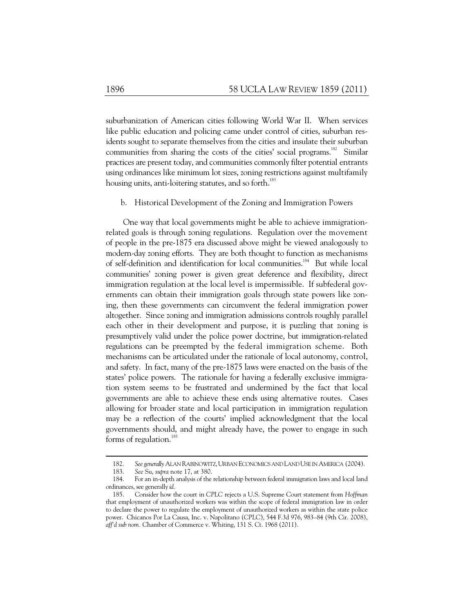suburbanization of American cities following World War II. When services like public education and policing came under control of cities, suburban residents sought to separate themselves from the cities and insulate their suburban communities from sharing the costs of the cities' social programs.<sup>182</sup> Similar practices are present today, and communities commonly filter potential entrants using ordinances like minimum lot sizes, zoning restrictions against multifamily housing units, anti-loitering statutes, and so forth.<sup>183</sup>

b. Historical Development of the Zoning and Immigration Powers

One way that local governments might be able to achieve immigrationrelated goals is through zoning regulations. Regulation over the movement of people in the pre-1875 era discussed above might be viewed analogously to modern-day zoning efforts. They are both thought to function as mechanisms of self-definition and identification for local communities.184 But while local communities' zoning power is given great deference and flexibility, direct immigration regulation at the local level is impermissible. If subfederal governments can obtain their immigration goals through state powers like zoning, then these governments can circumvent the federal immigration power altogether. Since zoning and immigration admissions controls roughly parallel each other in their development and purpose, it is puzzling that zoning is presumptively valid under the police power doctrine, but immigration-related regulations can be preempted by the federal immigration scheme. Both mechanisms can be articulated under the rationale of local autonomy, control, and safety. In fact, many of the pre-1875 laws were enacted on the basis of the states' police powers. The rationale for having a federally exclusive immigration system seems to be frustrated and undermined by the fact that local governments are able to achieve these ends using alternative routes. Cases allowing for broader state and local participation in immigration regulation may be a reflection of the courts' implied acknowledgment that the local governments should, and might already have, the power to engage in such forms of regulation.<sup>185</sup>

 <sup>182.</sup> *See generally* ALAN RABINOWITZ,URBAN ECONOMICS AND LAND USE IN AMERICA (2004).

 <sup>183.</sup> *See* Su, *supra* note 17, at 380.

 <sup>184.</sup> For an in-depth analysis of the relationship between federal immigration laws and local land ordinances, see generally *id.*

 <sup>185.</sup> Consider how the court in *CPLC* rejects a U.S. Supreme Court statement from *Hoffman* that employment of unauthorized workers was within the scope of federal immigration law in order to declare the power to regulate the employment of unauthorized workers as within the state police power. Chicanos Por La Causa, Inc. v. Napolitano (*CPLC*), 544 F.3d 976, 983–84 (9th Cir. 2008), *aff'd sub nom.* Chamber of Commerce v. Whiting, 131 S. Ct. 1968 (2011).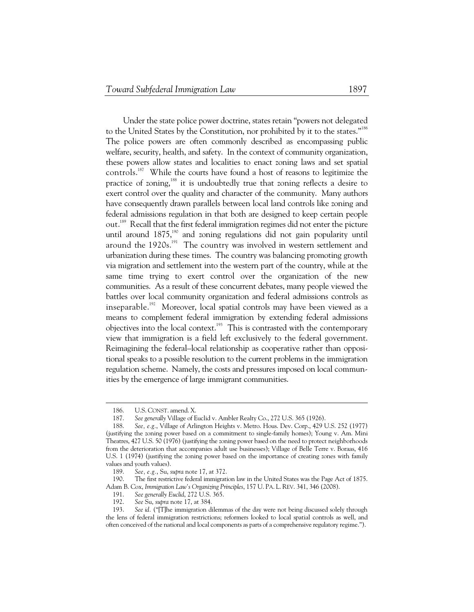Under the state police power doctrine, states retain "powers not delegated to the United States by the Constitution, nor prohibited by it to the states."<sup>186</sup> The police powers are often commonly described as encompassing public welfare, security, health, and safety. In the context of community organization, these powers allow states and localities to enact zoning laws and set spatial controls.187 While the courts have found a host of reasons to legitimize the practice of zoning,<sup>188</sup> it is undoubtedly true that zoning reflects a desire to exert control over the quality and character of the community. Many authors have consequently drawn parallels between local land controls like zoning and federal admissions regulation in that both are designed to keep certain people out.<sup>189</sup> Recall that the first federal immigration regimes did not enter the picture until around 1875,<sup>190</sup> and zoning regulations did not gain popularity until around the 1920s.<sup>191</sup> The country was involved in western settlement and urbanization during these times. The country was balancing promoting growth via migration and settlement into the western part of the country, while at the same time trying to exert control over the organization of the new communities. As a result of these concurrent debates, many people viewed the battles over local community organization and federal admissions controls as inseparable.<sup>192</sup> Moreover, local spatial controls may have been viewed as a means to complement federal immigration by extending federal admissions objectives into the local context.<sup>193</sup> This is contrasted with the contemporary view that immigration is a field left exclusively to the federal government. Reimagining the federal–local relationship as cooperative rather than oppositional speaks to a possible resolution to the current problems in the immigration regulation scheme. Namely, the costs and pressures imposed on local communities by the emergence of large immigrant communities.

 <sup>186.</sup> U.S. CONST. amend. X.

 <sup>187.</sup> *See generally* Village of Euclid v. Ambler Realty Co., 272 U.S. 365 (1926).

 <sup>188.</sup> *See, e.g.*, Village of Arlington Heights v. Metro. Hous. Dev. Corp., 429 U.S. 252 (1977) (justifying the zoning power based on a commitment to single-family homes); Young v. Am. Mini Theatres, 427 U.S. 50 (1976) (justifying the zoning power based on the need to protect neighborhoods from the deterioration that accompanies adult use businesses); Village of Belle Terre v. Boraas, 416 U.S. 1 (1974) (justifying the zoning power based on the importance of creating zones with family values and youth values).

 <sup>189.</sup> *See, e.g.*, Su, *supra* note 17, at 372.

 <sup>190.</sup> The first restrictive federal immigration law in the United States was the Page Act of 1875. Adam B. Cox, *Immigration Law's Organizing Principles*, 157 U. PA. L. REV. 341, 346 (2008).

 <sup>191.</sup> *See generally Euclid*, 272 U.S. 365.

 <sup>192.</sup> *See* Su, *supra* note 17, at 384.

 <sup>193.</sup> *See id.* ("[T]he immigration dilemmas of the day were not being discussed solely through the lens of federal immigration restrictions; reformers looked to local spatial controls as well, and often conceived of the national and local components as parts of a comprehensive regulatory regime.").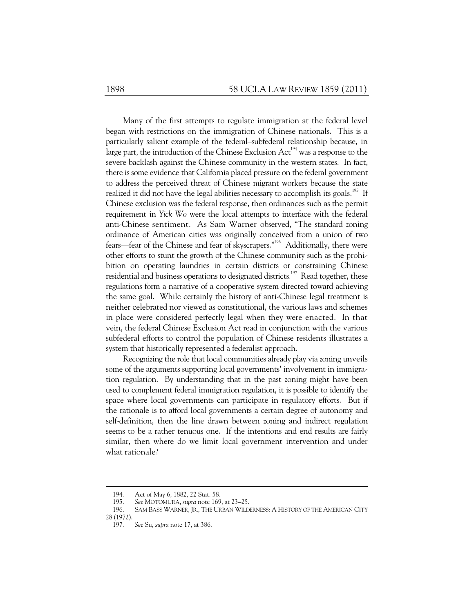Many of the first attempts to regulate immigration at the federal level began with restrictions on the immigration of Chinese nationals. This is a particularly salient example of the federal–subfederal relationship because, in large part, the introduction of the Chinese Exclusion  $Act^{194}$  was a response to the severe backlash against the Chinese community in the western states. In fact, there is some evidence that California placed pressure on the federal government to address the perceived threat of Chinese migrant workers because the state realized it did not have the legal abilities necessary to accomplish its goals.<sup>195</sup> If Chinese exclusion was the federal response, then ordinances such as the permit requirement in *Yick Wo* were the local attempts to interface with the federal anti-Chinese sentiment. As Sam Warner observed, "The standard zoning ordinance of American cities was originally conceived from a union of two fears—fear of the Chinese and fear of skyscrapers."<sup>196</sup> Additionally, there were other efforts to stunt the growth of the Chinese community such as the prohibition on operating laundries in certain districts or constraining Chinese residential and business operations to designated districts.<sup>197</sup> Read together, these regulations form a narrative of a cooperative system directed toward achieving the same goal. While certainly the history of anti-Chinese legal treatment is neither celebrated nor viewed as constitutional, the various laws and schemes in place were considered perfectly legal when they were enacted. In that vein, the federal Chinese Exclusion Act read in conjunction with the various subfederal efforts to control the population of Chinese residents illustrates a system that historically represented a federalist approach.

Recognizing the role that local communities already play via zoning unveils some of the arguments supporting local governments' involvement in immigration regulation. By understanding that in the past zoning might have been used to complement federal immigration regulation, it is possible to identify the space where local governments can participate in regulatory efforts. But if the rationale is to afford local governments a certain degree of autonomy and self-definition, then the line drawn between zoning and indirect regulation seems to be a rather tenuous one. If the intentions and end results are fairly similar, then where do we limit local government intervention and under what rationale?

 <sup>194.</sup> Act of May 6, 1882, 22 Stat. 58.

 <sup>195.</sup> *See* MOTOMURA, *supra* note 169, at 23–25.

 <sup>196.</sup> SAM BASS WARNER, JR., THE URBAN WILDERNESS: A HISTORY OF THE AMERICAN CITY 28 (1972).

 <sup>197.</sup> *See* Su, *supra* note 17, at 386.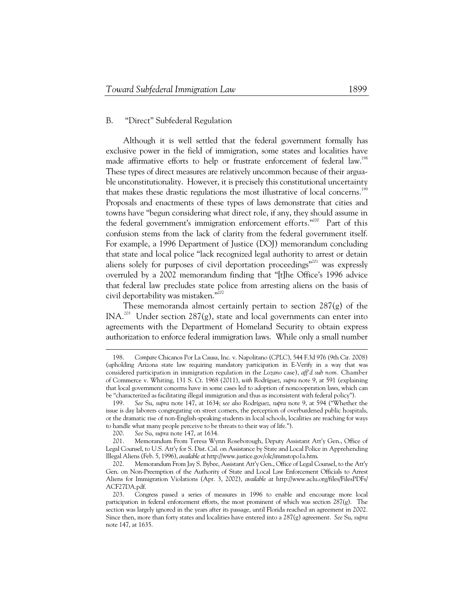## B. "Direct" Subfederal Regulation

Although it is well settled that the federal government formally has exclusive power in the field of immigration, some states and localities have made affirmative efforts to help or frustrate enforcement of federal law.<sup>198</sup> These types of direct measures are relatively uncommon because of their arguable unconstitutionality. However, it is precisely this constitutional uncertainty that makes these drastic regulations the most illustrative of local concerns.<sup>199</sup> Proposals and enactments of these types of laws demonstrate that cities and towns have "begun considering what direct role, if any, they should assume in the federal government's immigration enforcement efforts."<sup>200</sup> Part of this confusion stems from the lack of clarity from the federal government itself. For example, a 1996 Department of Justice (DOJ) memorandum concluding that state and local police "lack recognized legal authority to arrest or detain aliens solely for purposes of civil deportation proceedings"<sup>201</sup> was expressly overruled by a 2002 memorandum finding that "[t]he Office's 1996 advice that federal law precludes state police from arresting aliens on the basis of civil deportability was mistaken."<sup>202</sup>

These memoranda almost certainly pertain to section 287(g) of the INA.<sup>203</sup> Under section 287(g), state and local governments can enter into agreements with the Department of Homeland Security to obtain express authorization to enforce federal immigration laws. While only a small number

 <sup>198.</sup> *Compare* Chicanos Por La Causa, Inc. v. Napolitano (*CPLC*), 544 F.3d 976 (9th Cir. 2008) (upholding Arizona state law requiring mandatory participation in E-Verify in a way that was considered participation in immigration regulation in the *Lozano* case), *aff'd sub nom.* Chamber of Commerce v. Whiting, 131 S. Ct. 1968 (2011), *with* Rodríguez, *supra* note 9, at 591 (explaining that local government concerns have in some cases led to adoption of noncooperation laws, which can be "characterized as facilitating illegal immigration and thus as inconsistent with federal policy").

 <sup>199.</sup> *See* Su, *supra* note 147, at 1634; *see also* Rodríguez, *supra* note 9, at 594 ("Whether the issue is day laborers congregating on street corners, the perception of overburdened public hospitals, or the dramatic rise of non-English-speaking students in local schools, localities are reaching for ways to handle what many people perceive to be threats to their way of life.").

 <sup>200.</sup> *See* Su, *supra* note 147, at 1634.

 <sup>201.</sup> Memorandum From Teresa Wynn Roseborough, Deputy Assistant Att'y Gen., Office of Legal Counsel, to U.S. Att'y for S. Dist. Cal. on Assistance by State and Local Police in Apprehending Illegal Aliens (Feb. 5, 1996), *available at* http://www.justice.gov/olc/immstopo1a.htm.

 <sup>202.</sup> Memorandum From Jay S. Bybee, Assistant Att'y Gen., Office of Legal Counsel, to the Att'y Gen. on Non-Preemption of the Authority of State and Local Law Enforcement Officials to Arrest Aliens for Immigration Violations (Apr. 3, 2002), *available at* http://www.aclu.org/files/FilesPDFs/ ACF27DA.pdf.<br>203. Con

 <sup>203.</sup> Congress passed a series of measures in 1996 to enable and encourage more local participation in federal enforcement efforts, the most prominent of which was section 287(g). The section was largely ignored in the years after its passage, until Florida reached an agreement in 2002. Since then, more than forty states and localities have entered into a 287(g) agreement. *See* Su, *supra* note 147, at 1635.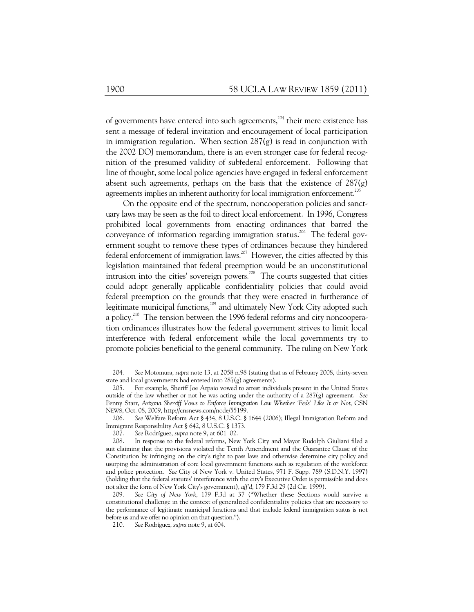of governments have entered into such agreements, $^{204}$  their mere existence has sent a message of federal invitation and encouragement of local participation in immigration regulation. When section  $287(g)$  is read in conjunction with the 2002 DOJ memorandum, there is an even stronger case for federal recognition of the presumed validity of subfederal enforcement. Following that line of thought, some local police agencies have engaged in federal enforcement absent such agreements, perhaps on the basis that the existence of 287(g) agreements implies an inherent authority for local immigration enforcement.<sup>205</sup>

On the opposite end of the spectrum, noncooperation policies and sanctuary laws may be seen as the foil to direct local enforcement. In 1996, Congress prohibited local governments from enacting ordinances that barred the conveyance of information regarding immigration status.<sup>206</sup> The federal government sought to remove these types of ordinances because they hindered federal enforcement of immigration laws.<sup>207</sup> However, the cities affected by this legislation maintained that federal preemption would be an unconstitutional intrusion into the cities' sovereign powers.208 The courts suggested that cities could adopt generally applicable confidentiality policies that could avoid federal preemption on the grounds that they were enacted in furtherance of legitimate municipal functions,<sup>209</sup> and ultimately New York City adopted such a policy.<sup>210</sup> The tension between the 1996 federal reforms and city noncooperation ordinances illustrates how the federal government strives to limit local interference with federal enforcement while the local governments try to promote policies beneficial to the general community. The ruling on New York

 <sup>204.</sup> *See* Motomura, *supra* note 13, at 2058 n.98 (stating that as of February 2008, thirty-seven state and local governments had entered into 287(g) agreements).

 <sup>205.</sup> For example, Sheriff Joe Arpaio vowed to arrest individuals present in the United States outside of the law whether or not he was acting under the authority of a 287(g) agreement. *See* Penny Starr, *Arizona Sherriff Vows to Enforce Immigration Law Whether 'Feds' Like It or Not*, CSN NEWS, Oct. 08, 2009, http://cnsnews.com/node/55199.

 <sup>206.</sup> *See* Welfare Reform Act § 434, 8 U.S.C. § 1644 (2006); Illegal Immigration Reform and Immigrant Responsibility Act § 642, 8 U.S.C. § 1373.

 <sup>207.</sup> *See* Rodríguez, *supra* note 9, at 601–02.

 <sup>208.</sup> In response to the federal reforms, New York City and Mayor Rudolph Giuliani filed a suit claiming that the provisions violated the Tenth Amendment and the Guarantee Clause of the Constitution by infringing on the city's right to pass laws and otherwise determine city policy and usurping the administration of core local government functions such as regulation of the workforce and police protection. *See* City of New York v. United States, 971 F. Supp. 789 (S.D.N.Y. 1997) (holding that the federal statutes' interference with the city's Executive Order is permissible and does not alter the form of New York City's government), *aff'd*, 179 F.3d 29 (2d Cir. 1999).

 <sup>209.</sup> *See City of New York*, 179 F.3d at 37 ("Whether these Sections would survive a constitutional challenge in the context of generalized confidentiality policies that are necessary to the performance of legitimate municipal functions and that include federal immigration status is not before us and we offer no opinion on that question.").

 <sup>210.</sup> *See* Rodríguez, *supra* note 9, at 604.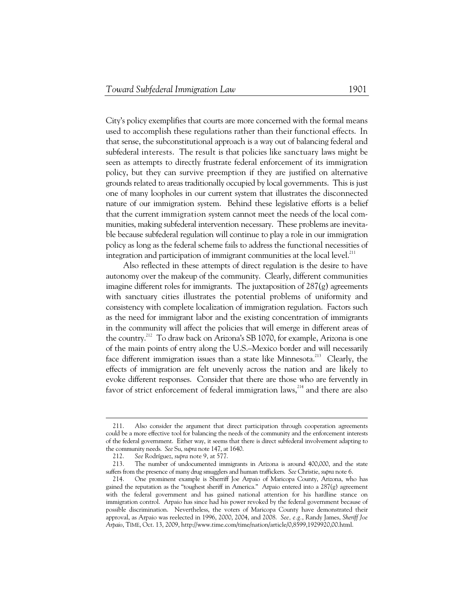City's policy exemplifies that courts are more concerned with the formal means used to accomplish these regulations rather than their functional effects. In that sense, the subconstitutional approach is a way out of balancing federal and subfederal interests. The result is that policies like sanctuary laws might be seen as attempts to directly frustrate federal enforcement of its immigration policy, but they can survive preemption if they are justified on alternative grounds related to areas traditionally occupied by local governments. This is just one of many loopholes in our current system that illustrates the disconnected nature of our immigration system. Behind these legislative efforts is a belief that the current immigration system cannot meet the needs of the local communities, making subfederal intervention necessary. These problems are inevitable because subfederal regulation will continue to play a role in our immigration policy as long as the federal scheme fails to address the functional necessities of integration and participation of immigrant communities at the local level.<sup>211</sup>

Also reflected in these attempts of direct regulation is the desire to have autonomy over the makeup of the community. Clearly, different communities imagine different roles for immigrants. The juxtaposition of  $287(g)$  agreements with sanctuary cities illustrates the potential problems of uniformity and consistency with complete localization of immigration regulation. Factors such as the need for immigrant labor and the existing concentration of immigrants in the community will affect the policies that will emerge in different areas of the country.212 To draw back on Arizona's SB 1070, for example, Arizona is one of the main points of entry along the U.S.–Mexico border and will necessarily face different immigration issues than a state like Minnesota.<sup>213</sup> Clearly, the effects of immigration are felt unevenly across the nation and are likely to evoke different responses. Consider that there are those who are fervently in favor of strict enforcement of federal immigration laws,<sup>214</sup> and there are also

 <sup>211.</sup> Also consider the argument that direct participation through cooperation agreements could be a more effective tool for balancing the needs of the community and the enforcement interests of the federal government. Either way, it seems that there is direct subfederal involvement adapting to the community needs. *See* Su, *supra* note 147, at 1640.

 <sup>212.</sup> *See* Rodríguez, *supra* note 9, at 577.

 <sup>213.</sup> The number of undocumented immigrants in Arizona is around 400,000, and the state suffers from the presence of many drug smugglers and human traffickers. *See* Christie, *supra* note 6.

 <sup>214.</sup> One prominent example is Sherriff Joe Arpaio of Maricopa County, Arizona, who has gained the reputation as the "toughest sheriff in America." Arpaio entered into a 287(g) agreement with the federal government and has gained national attention for his hardline stance on immigration control. Arpaio has since had his power revoked by the federal government because of possible discrimination. Nevertheless, the voters of Maricopa County have demonstrated their approval, as Arpaio was reelected in 1996, 2000, 2004, and 2008. *See, e.g.*, Randy James, *Sheriff Joe Arpaio*, TIME, Oct. 13, 2009, http://www.time.com/time/nation/article/0,8599,1929920,00.html.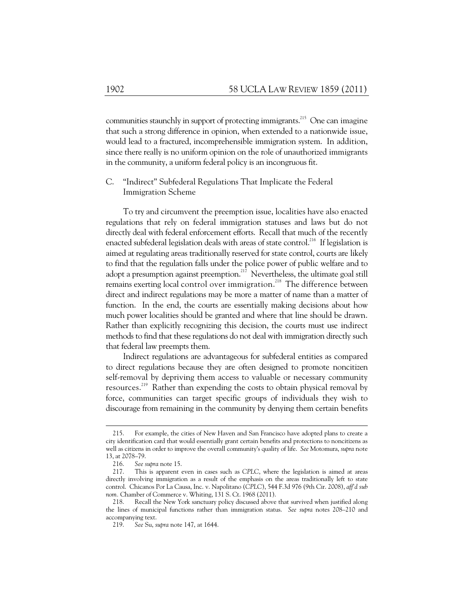communities staunchly in support of protecting immigrants.<sup>215</sup> One can imagine that such a strong difference in opinion, when extended to a nationwide issue, would lead to a fractured, incomprehensible immigration system. In addition, since there really is no uniform opinion on the role of unauthorized immigrants in the community, a uniform federal policy is an incongruous fit.

C. "Indirect" Subfederal Regulations That Implicate the Federal Immigration Scheme

To try and circumvent the preemption issue, localities have also enacted regulations that rely on federal immigration statuses and laws but do not directly deal with federal enforcement efforts. Recall that much of the recently enacted subfederal legislation deals with areas of state control.<sup>216</sup> If legislation is aimed at regulating areas traditionally reserved for state control, courts are likely to find that the regulation falls under the police power of public welfare and to adopt a presumption against preemption.<sup>217</sup> Nevertheless, the ultimate goal still remains exerting local control over immigration.<sup>218</sup> The difference between direct and indirect regulations may be more a matter of name than a matter of function. In the end, the courts are essentially making decisions about how much power localities should be granted and where that line should be drawn. Rather than explicitly recognizing this decision, the courts must use indirect methods to find that these regulations do not deal with immigration directly such that federal law preempts them.

Indirect regulations are advantageous for subfederal entities as compared to direct regulations because they are often designed to promote noncitizen self-removal by depriving them access to valuable or necessary community resources.219 Rather than expending the costs to obtain physical removal by force, communities can target specific groups of individuals they wish to discourage from remaining in the community by denying them certain benefits

 <sup>215.</sup> For example, the cities of New Haven and San Francisco have adopted plans to create a city identification card that would essentially grant certain benefits and protections to noncitizens as well as citizens in order to improve the overall community's quality of life. *See* Motomura, *supra* note 13, at 2078–79.<br>216. See s

See *supra* note 15.

 <sup>217.</sup> This is apparent even in cases such as *CPLC*, where the legislation is aimed at areas directly involving immigration as a result of the emphasis on the areas traditionally left to state control. Chicanos Por La Causa, Inc. v. Napolitano (*CPLC*), 544 F.3d 976 (9th Cir. 2008), *aff'd sub nom.* Chamber of Commerce v. Whiting, 131 S. Ct. 1968 (2011).

 <sup>218.</sup> Recall the New York sanctuary policy discussed above that survived when justified along the lines of municipal functions rather than immigration status. *See supra* notes 208–210 and accompanying text.

 <sup>219.</sup> *See* Su, *supra* note 147, at 1644.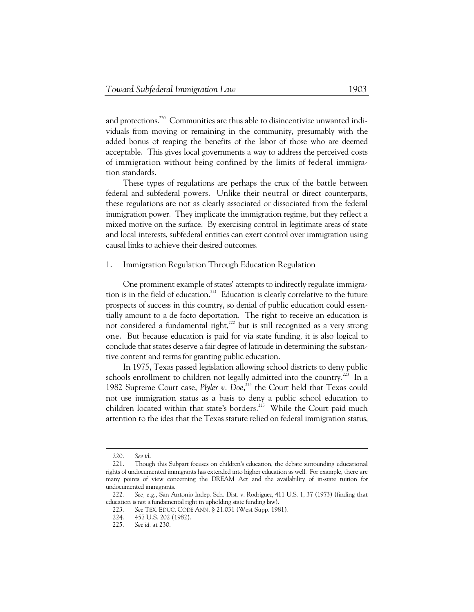and protections.<sup>220</sup> Communities are thus able to disincentivize unwanted individuals from moving or remaining in the community, presumably with the added bonus of reaping the benefits of the labor of those who are deemed acceptable. This gives local governments a way to address the perceived costs of immigration without being confined by the limits of federal immigration standards.

These types of regulations are perhaps the crux of the battle between federal and subfederal powers. Unlike their neutral or direct counterparts, these regulations are not as clearly associated or dissociated from the federal immigration power. They implicate the immigration regime, but they reflect a mixed motive on the surface. By exercising control in legitimate areas of state and local interests, subfederal entities can exert control over immigration using causal links to achieve their desired outcomes.

#### 1. Immigration Regulation Through Education Regulation

One prominent example of states' attempts to indirectly regulate immigration is in the field of education.<sup>221</sup> Education is clearly correlative to the future prospects of success in this country, so denial of public education could essentially amount to a de facto deportation. The right to receive an education is not considered a fundamental right, $22$  but is still recognized as a very strong one. But because education is paid for via state funding, it is also logical to conclude that states deserve a fair degree of latitude in determining the substantive content and terms for granting public education.

In 1975, Texas passed legislation allowing school districts to deny public schools enrollment to children not legally admitted into the country.<sup>223</sup> In a 1982 Supreme Court case, *Plyler v. Doe*,<sup>224</sup> the Court held that Texas could not use immigration status as a basis to deny a public school education to children located within that state's borders.<sup>225</sup> While the Court paid much attention to the idea that the Texas statute relied on federal immigration status,

 <sup>220.</sup> *See id.*

 <sup>221.</sup> Though this Subpart focuses on children's education, the debate surrounding educational rights of undocumented immigrants has extended into higher education as well. For example, there are many points of view concerning the DREAM Act and the availability of in-state tuition for undocumented immigrants.

 <sup>222.</sup> *See, e.g.*, San Antonio Indep. Sch. Dist. v. Rodriguez, 411 U.S. 1, 37 (1973) (finding that education is not a fundamental right in upholding state funding law).

 <sup>223.</sup> *See* TEX. EDUC. CODE ANN. § 21.031 (West Supp. 1981).

<sup>457</sup> U.S. 202 (1982).

 <sup>225.</sup> *See id*. at 230.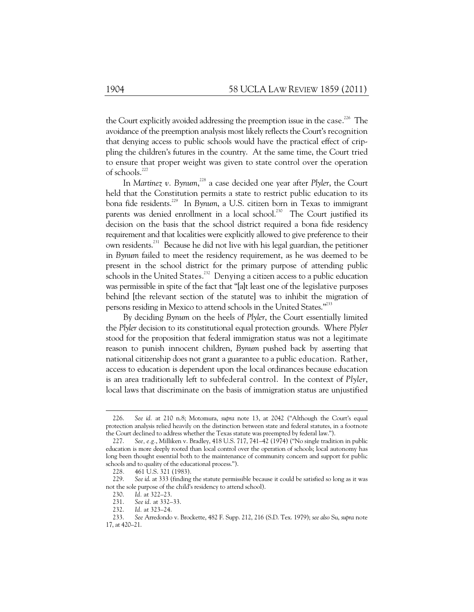the Court explicitly avoided addressing the preemption issue in the case.<sup>226</sup> The avoidance of the preemption analysis most likely reflects the Court's recognition that denying access to public schools would have the practical effect of crippling the children's futures in the country. At the same time, the Court tried to ensure that proper weight was given to state control over the operation of schools.<sup>227</sup>

In Martinez v. Bynum,<sup>228</sup> a case decided one year after *Plyler*, the Court held that the Constitution permits a state to restrict public education to its bona fide residents.229 In *Bynum*, a U.S. citizen born in Texas to immigrant parents was denied enrollment in a local school.<sup>230</sup> The Court justified its decision on the basis that the school district required a bona fide residency requirement and that localities were explicitly allowed to give preference to their own residents.<sup>231</sup> Because he did not live with his legal guardian, the petitioner in *Bynum* failed to meet the residency requirement, as he was deemed to be present in the school district for the primary purpose of attending public schools in the United States. $^{232}$  Denying a citizen access to a public education was permissible in spite of the fact that "[a]t least one of the legislative purposes behind [the relevant section of the statute] was to inhibit the migration of persons residing in Mexico to attend schools in the United States."<sup>233</sup>

By deciding *Bynum* on the heels of *Plyler*, the Court essentially limited the *Plyler* decision to its constitutional equal protection grounds. Where *Plyler* stood for the proposition that federal immigration status was not a legitimate reason to punish innocent children, *Bynum* pushed back by asserting that national citizenship does not grant a guarantee to a public education. Rather, access to education is dependent upon the local ordinances because education is an area traditionally left to subfederal control. In the context of *Plyler*, local laws that discriminate on the basis of immigration status are unjustified

-

 <sup>226.</sup> *See id.* at 210 n.8; Motomura, *supra* note 13, at 2042 ("Although the Court's equal protection analysis relied heavily on the distinction between state and federal statutes, in a footnote the Court declined to address whether the Texas statute was preempted by federal law.").

 <sup>227.</sup> *See, e.g.*, Milliken v. Bradley, 418 U.S. 717, 741–42 (1974) ("No single tradition in public education is more deeply rooted than local control over the operation of schools; local autonomy has long been thought essential both to the maintenance of community concern and support for public schools and to quality of the educational process.").

<sup>228</sup>*.* 461 U.S. 321 (1983).

 <sup>229.</sup> *See id*. at 333 (finding the statute permissible because it could be satisfied so long as it was not the sole purpose of the child's residency to attend school).

 <sup>230.</sup> *Id.* at 322–23.

 <sup>231.</sup> *See id.* at 332–33.

 <sup>232.</sup> *Id.* at 323–24.

 <sup>233.</sup> *See* Arredondo v. Brockette, 482 F. Supp. 212, 216 (S.D. Tex. 1979); *see also* Su, *supra* note 17, at 420–21.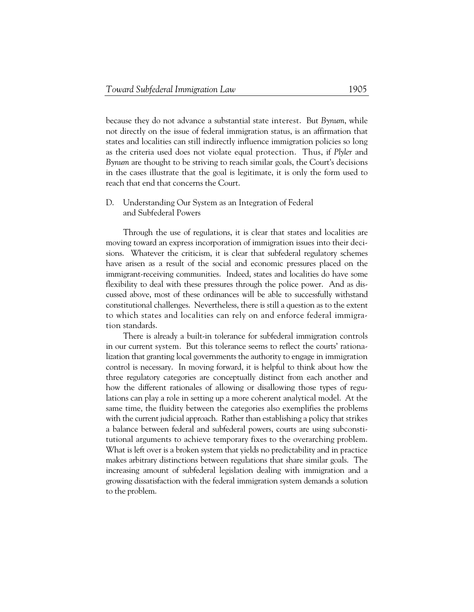because they do not advance a substantial state interest. But *Bynum*, while not directly on the issue of federal immigration status, is an affirmation that states and localities can still indirectly influence immigration policies so long as the criteria used does not violate equal protection. Thus, if *Plyler* and *Bynum* are thought to be striving to reach similar goals, the Court's decisions in the cases illustrate that the goal is legitimate, it is only the form used to reach that end that concerns the Court.

# D. Understanding Our System as an Integration of Federal and Subfederal Powers

Through the use of regulations, it is clear that states and localities are moving toward an express incorporation of immigration issues into their decisions. Whatever the criticism, it is clear that subfederal regulatory schemes have arisen as a result of the social and economic pressures placed on the immigrant-receiving communities. Indeed, states and localities do have some flexibility to deal with these pressures through the police power. And as discussed above, most of these ordinances will be able to successfully withstand constitutional challenges. Nevertheless, there is still a question as to the extent to which states and localities can rely on and enforce federal immigration standards.

There is already a built-in tolerance for subfederal immigration controls in our current system. But this tolerance seems to reflect the courts' rationalization that granting local governments the authority to engage in immigration control is necessary. In moving forward, it is helpful to think about how the three regulatory categories are conceptually distinct from each another and how the different rationales of allowing or disallowing those types of regulations can play a role in setting up a more coherent analytical model. At the same time, the fluidity between the categories also exemplifies the problems with the current judicial approach. Rather than establishing a policy that strikes a balance between federal and subfederal powers, courts are using subconstitutional arguments to achieve temporary fixes to the overarching problem. What is left over is a broken system that yields no predictability and in practice makes arbitrary distinctions between regulations that share similar goals. The increasing amount of subfederal legislation dealing with immigration and a growing dissatisfaction with the federal immigration system demands a solution to the problem.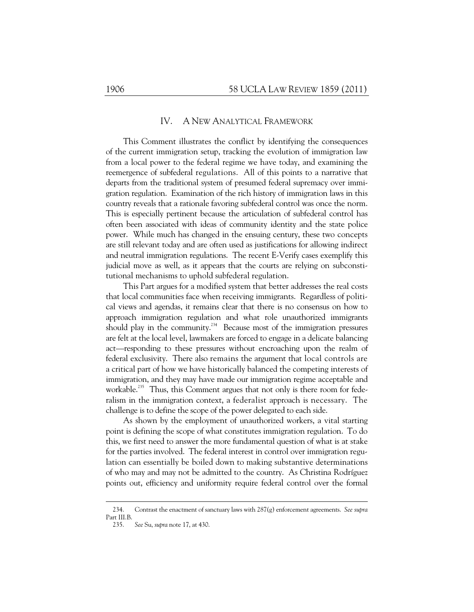## IV. A NEW ANALYTICAL FRAMEWORK

This Comment illustrates the conflict by identifying the consequences of the current immigration setup, tracking the evolution of immigration law from a local power to the federal regime we have today, and examining the reemergence of subfederal regulations. All of this points to a narrative that departs from the traditional system of presumed federal supremacy over immigration regulation. Examination of the rich history of immigration laws in this country reveals that a rationale favoring subfederal control was once the norm. This is especially pertinent because the articulation of subfederal control has often been associated with ideas of community identity and the state police power. While much has changed in the ensuing century, these two concepts are still relevant today and are often used as justifications for allowing indirect and neutral immigration regulations. The recent E-Verify cases exemplify this judicial move as well, as it appears that the courts are relying on subconstitutional mechanisms to uphold subfederal regulation.

This Part argues for a modified system that better addresses the real costs that local communities face when receiving immigrants. Regardless of political views and agendas, it remains clear that there is no consensus on how to approach immigration regulation and what role unauthorized immigrants should play in the community.<sup>234</sup> Because most of the immigration pressures are felt at the local level, lawmakers are forced to engage in a delicate balancing act—responding to these pressures without encroaching upon the realm of federal exclusivity. There also remains the argument that local controls are a critical part of how we have historically balanced the competing interests of immigration, and they may have made our immigration regime acceptable and workable.<sup>235</sup> Thus, this Comment argues that not only is there room for federalism in the immigration context, a federalist approach is necessary. The challenge is to define the scope of the power delegated to each side.

As shown by the employment of unauthorized workers, a vital starting point is defining the scope of what constitutes immigration regulation. To do this, we first need to answer the more fundamental question of what is at stake for the parties involved. The federal interest in control over immigration regulation can essentially be boiled down to making substantive determinations of who may and may not be admitted to the country. As Christina Rodríguez points out, efficiency and uniformity require federal control over the formal

-

 <sup>234.</sup> Contrast the enactment of sanctuary laws with 287(g) enforcement agreements. *See supra*  Part III.B.

 <sup>235.</sup> *See* Su, *supra* note 17, at 430.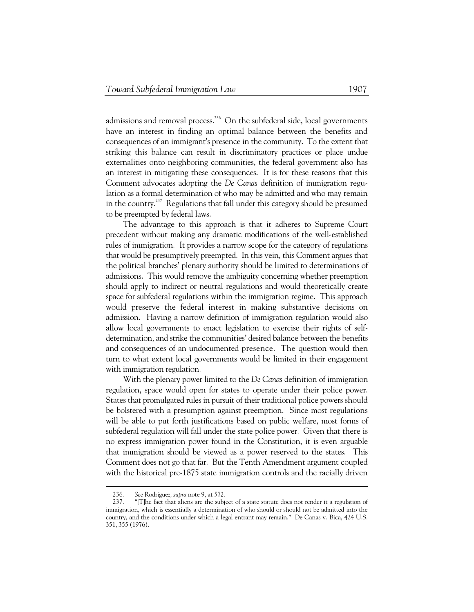admissions and removal process.<sup>236</sup> On the subfederal side, local governments have an interest in finding an optimal balance between the benefits and consequences of an immigrant's presence in the community. To the extent that striking this balance can result in discriminatory practices or place undue externalities onto neighboring communities, the federal government also has an interest in mitigating these consequences. It is for these reasons that this Comment advocates adopting the *De Canas* definition of immigration regulation as a formal determination of who may be admitted and who may remain in the country.<sup>237</sup> Regulations that fall under this category should be presumed to be preempted by federal laws.

The advantage to this approach is that it adheres to Supreme Court precedent without making any dramatic modifications of the well-established rules of immigration. It provides a narrow scope for the category of regulations that would be presumptively preempted. In this vein, this Comment argues that the political branches' plenary authority should be limited to determinations of admissions. This would remove the ambiguity concerning whether preemption should apply to indirect or neutral regulations and would theoretically create space for subfederal regulations within the immigration regime. This approach would preserve the federal interest in making substantive decisions on admission. Having a narrow definition of immigration regulation would also allow local governments to enact legislation to exercise their rights of selfdetermination, and strike the communities' desired balance between the benefits and consequences of an undocumented presence. The question would then turn to what extent local governments would be limited in their engagement with immigration regulation.

With the plenary power limited to the *De Canas* definition of immigration regulation, space would open for states to operate under their police power. States that promulgated rules in pursuit of their traditional police powers should be bolstered with a presumption against preemption. Since most regulations will be able to put forth justifications based on public welfare, most forms of subfederal regulation will fall under the state police power. Given that there is no express immigration power found in the Constitution, it is even arguable that immigration should be viewed as a power reserved to the states. This Comment does not go that far. But the Tenth Amendment argument coupled with the historical pre-1875 state immigration controls and the racially driven

 <sup>236.</sup> *See* Rodríguez, *supra* note 9, at 572.

<sup>237. &</sup>quot;The fact that aliens are the subject of a state statute does not render it a regulation of immigration, which is essentially a determination of who should or should not be admitted into the country, and the conditions under which a legal entrant may remain."De Canas v. Bica, 424 U.S. 351, 355 (1976).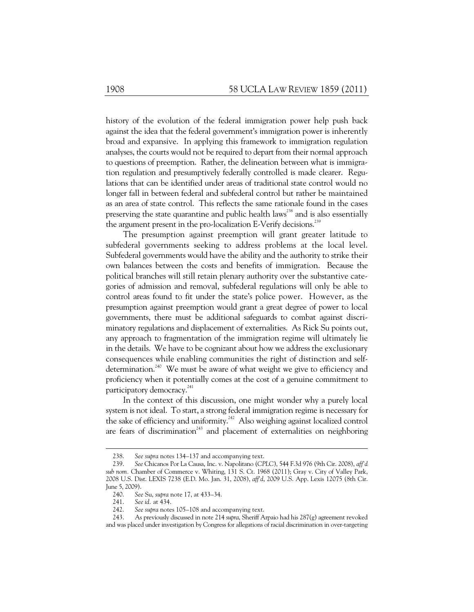history of the evolution of the federal immigration power help push back against the idea that the federal government's immigration power is inherently broad and expansive. In applying this framework to immigration regulation analyses, the courts would not be required to depart from their normal approach to questions of preemption. Rather, the delineation between what is immigration regulation and presumptively federally controlled is made clearer. Regulations that can be identified under areas of traditional state control would no longer fall in between federal and subfederal control but rather be maintained as an area of state control. This reflects the same rationale found in the cases preserving the state quarantine and public health laws<sup>238</sup> and is also essentially the argument present in the pro-localization E-Verify decisions.<sup>239</sup>

The presumption against preemption will grant greater latitude to subfederal governments seeking to address problems at the local level. Subfederal governments would have the ability and the authority to strike their own balances between the costs and benefits of immigration. Because the political branches will still retain plenary authority over the substantive categories of admission and removal, subfederal regulations will only be able to control areas found to fit under the state's police power. However, as the presumption against preemption would grant a great degree of power to local governments, there must be additional safeguards to combat against discriminatory regulations and displacement of externalities. As Rick Su points out, any approach to fragmentation of the immigration regime will ultimately lie in the details. We have to be cognizant about how we address the exclusionary consequences while enabling communities the right of distinction and selfdetermination.<sup>240</sup> We must be aware of what weight we give to efficiency and proficiency when it potentially comes at the cost of a genuine commitment to participatory democracy.<sup>241</sup>

In the context of this discussion, one might wonder why a purely local system is not ideal. To start, a strong federal immigration regime is necessary for the sake of efficiency and uniformity.<sup>242</sup> Also weighing against localized control are fears of discrimination<sup>243</sup> and placement of externalities on neighboring

1

242. *See supra* notes 105–108 and accompanying text.

 <sup>238.</sup> *See supra* notes 134–137 and accompanying text.

 <sup>239.</sup> *See* Chicanos Por La Causa, Inc. v. Napolitano (*CPLC*), 544 F.3d 976 (9th Cir. 2008), *aff'd sub nom.* Chamber of Commerce v. Whiting, 131 S. Ct. 1968 (2011); Gray v. City of Valley Park, 2008 U.S. Dist. LEXIS 7238 (E.D. Mo. Jan. 31, 2008), *aff'd*, 2009 U.S. App. Lexis 12075 (8th Cir. June 5, 2009).

 <sup>240.</sup> *See* Su, *supra* note 17, at 433–34.

 <sup>241.</sup> *See id.* at 434.

 <sup>243.</sup> As previously discussed in note 214 *supra*, Sheriff Arpaio had his 287(g) agreement revoked and was placed under investigation by Congress for allegations of racial discrimination in over-targeting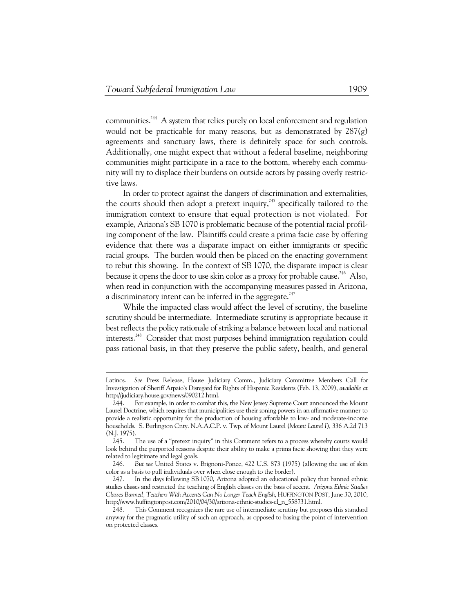1

communities.<sup>244</sup> A system that relies purely on local enforcement and regulation would not be practicable for many reasons, but as demonstrated by 287(g) agreements and sanctuary laws, there is definitely space for such controls. Additionally, one might expect that without a federal baseline, neighboring communities might participate in a race to the bottom, whereby each community will try to displace their burdens on outside actors by passing overly restrictive laws.

In order to protect against the dangers of discrimination and externalities, the courts should then adopt a pretext inquiry,<sup>245</sup> specifically tailored to the immigration context to ensure that equal protection is not violated. For example, Arizona's SB 1070 is problematic because of the potential racial profiling component of the law. Plaintiffs could create a prima facie case by offering evidence that there was a disparate impact on either immigrants or specific racial groups. The burden would then be placed on the enacting government to rebut this showing. In the context of SB 1070, the disparate impact is clear because it opens the door to use skin color as a proxy for probable cause.<sup>246</sup> Also, when read in conjunction with the accompanying measures passed in Arizona, a discriminatory intent can be inferred in the aggregate.<sup>247</sup>

While the impacted class would affect the level of scrutiny, the baseline scrutiny should be intermediate. Intermediate scrutiny is appropriate because it best reflects the policy rationale of striking a balance between local and national interests.248 Consider that most purposes behind immigration regulation could pass rational basis, in that they preserve the public safety, health, and general

Latinos. *See* Press Release, House Judiciary Comm., Judiciary Committee Members Call for Investigation of Sheriff Arpaio's Disregard for Rights of Hispanic Residents (Feb. 13, 2009), *available at*  http://judiciary.house.gov/news/090212.html.

 <sup>244.</sup> For example, in order to combat this, the New Jersey Supreme Court announced the Mount Laurel Doctrine, which requires that municipalities use their zoning powers in an affirmative manner to provide a realistic opportunity for the production of housing affordable to low- and moderate-income households. S. Burlington Cnty. N.A.A.C.P. v. Twp. of Mount Laurel (*Mount Laurel I*), 336 A.2d 713 (N.J. 1975).

 <sup>245.</sup> The use of a "pretext inquiry" in this Comment refers to a process whereby courts would look behind the purported reasons despite their ability to make a prima facie showing that they were related to legitimate and legal goals.

 <sup>246.</sup> *But see* United States v. Brignoni-Ponce, 422 U.S. 873 (1975) (allowing the use of skin color as a basis to pull individuals over when close enough to the border).

 <sup>247.</sup> In the days following SB 1070, Arizona adopted an educational policy that banned ethnic studies classes and restricted the teaching of English classes on the basis of accent. *Arizona Ethnic Studies Classes Banned, Teachers With Accents Can No Longer Teach English*, HUFFINGTON POST, June 30, 2010, http://www.huffingtonpost.com/2010/04/30/arizona-ethnic-studies-cl\_n\_558731.html.

 <sup>248.</sup> This Comment recognizes the rare use of intermediate scrutiny but proposes this standard anyway for the pragmatic utility of such an approach, as opposed to basing the point of intervention on protected classes.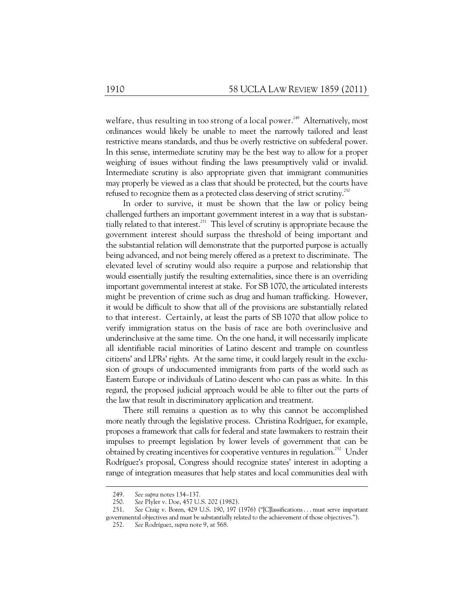welfare, thus resulting in too strong of a local power.<sup>249</sup> Alternatively, most ordinances would likely be unable to meet the narrowly tailored and least restrictive means standards, and thus be overly restrictive on subfederal power. In this sense, intermediate scrutiny may be the best way to allow for a proper weighing of issues without finding the laws presumptively valid or invalid. Intermediate scrutiny is also appropriate given that immigrant communities may properly be viewed as a class that should be protected, but the courts have refused to recognize them as a protected class deserving of strict scrutiny.<sup>250</sup>

In order to survive, it must be shown that the law or policy being challenged furthers an important government interest in a way that is substantially related to that interest.<sup>251</sup> This level of scrutiny is appropriate because the government interest should surpass the threshold of being important and the substantial relation will demonstrate that the purported purpose is actually being advanced, and not being merely offered as a pretext to discriminate. The elevated level of scrutiny would also require a purpose and relationship that would essentially justify the resulting externalities, since there is an overriding important governmental interest at stake. For SB 1070, the articulated interests might be prevention of crime such as drug and human trafficking. However, it would be difficult to show that all of the provisions are substantially related to that interest. Certainly, at least the parts of SB 1070 that allow police to verify immigration status on the basis of race are both overinclusive and underinclusive at the same time. On the one hand, it will necessarily implicate all identifiable racial minorities of Latino descent and trample on countless citizens' and LPRs' rights. At the same time, it could largely result in the exclusion of groups of undocumented immigrants from parts of the world such as Eastern Europe or individuals of Latino descent who can pass as white. In this regard, the proposed judicial approach would be able to filter out the parts of the law that result in discriminatory application and treatment.

There still remains a question as to why this cannot be accomplished more neatly through the legislative process. Christina Rodríguez, for example, proposes a framework that calls for federal and state lawmakers to restrain their impulses to preempt legislation by lower levels of government that can be obtained by creating incentives for cooperative ventures in regulation.<sup>252</sup> Under Rodríguez's proposal, Congress should recognize states' interest in adopting a range of integration measures that help states and local communities deal with

 <sup>249.</sup> *See supra* notes 134–137.

 <sup>250.</sup> *See* Plyler v. Doe, 457 U.S. 202 (1982).

 <sup>251.</sup> *See* Craig v. Boren, 429 U.S. 190, 197 (1976) ("[C]lassifications . . . must serve important governmental objectives and must be substantially related to the achievement of those objectives.").

 <sup>252.</sup> *See* Rodríguez, *supra* note 9, at 568.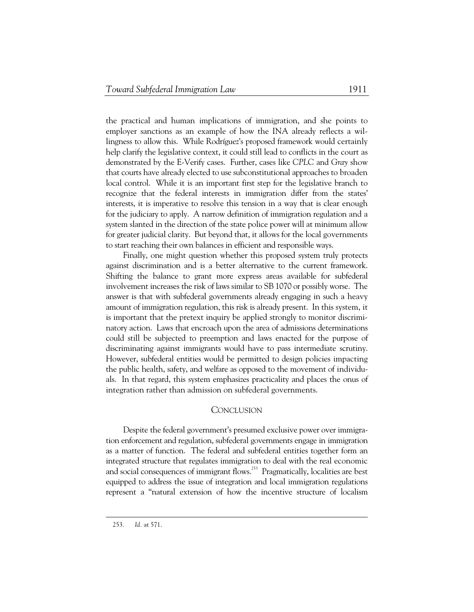the practical and human implications of immigration, and she points to employer sanctions as an example of how the INA already reflects a willingness to allow this. While Rodríguez's proposed framework would certainly help clarify the legislative context, it could still lead to conflicts in the court as demonstrated by the E-Verify cases. Further, cases like *CPLC* and *Gray* show that courts have already elected to use subconstitutional approaches to broaden local control. While it is an important first step for the legislative branch to recognize that the federal interests in immigration differ from the states' interests, it is imperative to resolve this tension in a way that is clear enough for the judiciary to apply. A narrow definition of immigration regulation and a system slanted in the direction of the state police power will at minimum allow for greater judicial clarity. But beyond that, it allows for the local governments to start reaching their own balances in efficient and responsible ways.

Finally, one might question whether this proposed system truly protects against discrimination and is a better alternative to the current framework. Shifting the balance to grant more express areas available for subfederal involvement increases the risk of laws similar to SB 1070 or possibly worse. The answer is that with subfederal governments already engaging in such a heavy amount of immigration regulation, this risk is already present. In this system, it is important that the pretext inquiry be applied strongly to monitor discriminatory action. Laws that encroach upon the area of admissions determinations could still be subjected to preemption and laws enacted for the purpose of discriminating against immigrants would have to pass intermediate scrutiny. However, subfederal entities would be permitted to design policies impacting the public health, safety, and welfare as opposed to the movement of individuals. In that regard, this system emphasizes practicality and places the onus of integration rather than admission on subfederal governments.

#### CONCLUSION

Despite the federal government's presumed exclusive power over immigration enforcement and regulation, subfederal governments engage in immigration as a matter of function. The federal and subfederal entities together form an integrated structure that regulates immigration to deal with the real economic and social consequences of immigrant flows.<sup>253</sup> Pragmatically, localities are best equipped to address the issue of integration and local immigration regulations represent a "natural extension of how the incentive structure of localism

 <sup>253.</sup> *Id.* at 571.